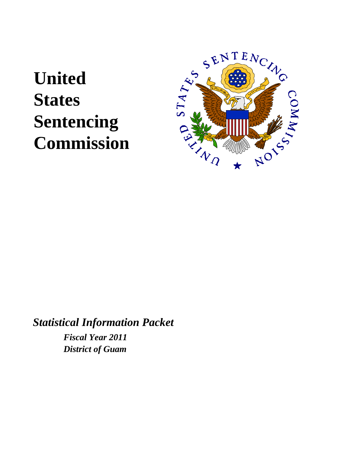# **United States Sentencing Commission**



*Statistical Information Packet Fiscal Year 2011 District of Guam*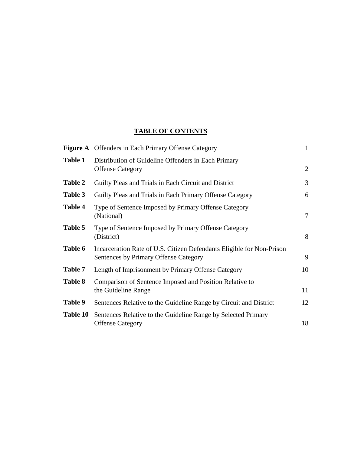#### **TABLE OF CONTENTS**

|                | <b>Figure A</b> Offenders in Each Primary Offense Category                                                     | $\mathbf{1}$   |
|----------------|----------------------------------------------------------------------------------------------------------------|----------------|
| <b>Table 1</b> | Distribution of Guideline Offenders in Each Primary<br><b>Offense Category</b>                                 | $\overline{2}$ |
| Table 2        | Guilty Pleas and Trials in Each Circuit and District                                                           | 3              |
| Table 3        | Guilty Pleas and Trials in Each Primary Offense Category                                                       | 6              |
| Table 4        | Type of Sentence Imposed by Primary Offense Category<br>(National)                                             | 7              |
| Table 5        | Type of Sentence Imposed by Primary Offense Category<br>(District)                                             | 8              |
| Table 6        | Incarceration Rate of U.S. Citizen Defendants Eligible for Non-Prison<br>Sentences by Primary Offense Category | 9              |
| Table 7        | Length of Imprisonment by Primary Offense Category                                                             | 10             |
| Table 8        | Comparison of Sentence Imposed and Position Relative to<br>the Guideline Range                                 | 11             |
| Table 9        | Sentences Relative to the Guideline Range by Circuit and District                                              | 12             |
| Table 10       | Sentences Relative to the Guideline Range by Selected Primary<br><b>Offense Category</b>                       | 18             |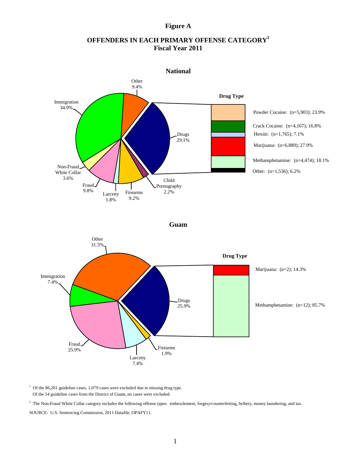Of the 54 guideline cases from the District of Guam, no cases were excluded.

<sup>2</sup> The Non-Fraud White Collar category includes the following offense types: embezzlement, forgery/counterfeiting, bribery, money laundering, and tax. SOURCE: U.S. Sentencing Commission, 2011 Datafile, OPAFY11.

# **Figure A**

# **OFFENDERS IN EACH PRIMARY OFFENSE CATEGORY1 Fiscal Year 2011**



 $1$  Of the 86,201 guideline cases, 1,079 cases were excluded due to missing drug type.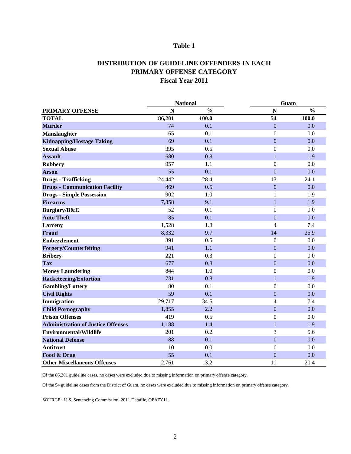#### **DISTRIBUTION OF GUIDELINE OFFENDERS IN EACH PRIMARY OFFENSE CATEGORY Fiscal Year 2011**

|                                           |        | <b>National</b> | Guam             |               |  |  |
|-------------------------------------------|--------|-----------------|------------------|---------------|--|--|
| <b>PRIMARY OFFENSE</b>                    | N      | $\frac{0}{0}$   | $\mathbf N$      | $\frac{0}{0}$ |  |  |
| <b>TOTAL</b>                              | 86,201 | 100.0           | 54               | 100.0         |  |  |
| <b>Murder</b>                             | 74     | 0.1             | $\mathbf{0}$     | 0.0           |  |  |
| <b>Manslaughter</b>                       | 65     | 0.1             | $\overline{0}$   | 0.0           |  |  |
| <b>Kidnapping/Hostage Taking</b>          | 69     | 0.1             | $\mathbf{0}$     | 0.0           |  |  |
| <b>Sexual Abuse</b>                       | 395    | 0.5             | $\overline{0}$   | 0.0           |  |  |
| <b>Assault</b>                            | 680    | 0.8             | $\mathbf{1}$     | 1.9           |  |  |
| <b>Robbery</b>                            | 957    | 1.1             | $\overline{0}$   | 0.0           |  |  |
| <b>Arson</b>                              | 55     | 0.1             | $\overline{0}$   | 0.0           |  |  |
| <b>Drugs - Trafficking</b>                | 24,442 | 28.4            | 13               | 24.1          |  |  |
| <b>Drugs - Communication Facility</b>     | 469    | 0.5             | $\boldsymbol{0}$ | 0.0           |  |  |
| <b>Drugs - Simple Possession</b>          | 902    | 1.0             | 1                | 1.9           |  |  |
| <b>Firearms</b>                           | 7,858  | 9.1             | 1                | 1.9           |  |  |
| Burglary/B&E                              | 52     | 0.1             | $\overline{0}$   | 0.0           |  |  |
| <b>Auto Theft</b>                         | 85     | 0.1             | $\mathbf{0}$     | 0.0           |  |  |
| <b>Larceny</b>                            | 1,528  | 1.8             | 4                | 7.4           |  |  |
| <b>Fraud</b>                              | 8,332  | 9.7             | 14               | 25.9          |  |  |
| <b>Embezzlement</b>                       | 391    | 0.5             | $\overline{0}$   | 0.0           |  |  |
| <b>Forgery/Counterfeiting</b>             | 941    | 1.1             | $\mathbf{0}$     | 0.0           |  |  |
| <b>Bribery</b>                            | 221    | 0.3             | $\mathbf{0}$     | 0.0           |  |  |
| <b>Tax</b>                                | 677    | 0.8             | $\mathbf{0}$     | 0.0           |  |  |
| <b>Money Laundering</b>                   | 844    | 1.0             | $\overline{0}$   | 0.0           |  |  |
| <b>Racketeering/Extortion</b>             | 731    | 0.8             | $\mathbf{1}$     | 1.9           |  |  |
| <b>Gambling/Lottery</b>                   | 80     | 0.1             | $\overline{0}$   | 0.0           |  |  |
| <b>Civil Rights</b>                       | 59     | 0.1             | $\boldsymbol{0}$ | 0.0           |  |  |
| Immigration                               | 29,717 | 34.5            | $\overline{4}$   | 7.4           |  |  |
| <b>Child Pornography</b>                  | 1,855  | 2.2             | $\boldsymbol{0}$ | 0.0           |  |  |
| <b>Prison Offenses</b>                    | 419    | 0.5             | $\boldsymbol{0}$ | $0.0\,$       |  |  |
| <b>Administration of Justice Offenses</b> | 1,188  | 1.4             | $\mathbf{1}$     | 1.9           |  |  |
| <b>Environmental/Wildlife</b>             | 201    | 0.2             | 3                | 5.6           |  |  |
| <b>National Defense</b>                   | 88     | 0.1             | $\overline{0}$   | 0.0           |  |  |
| <b>Antitrust</b>                          | 10     | 0.0             | $\overline{0}$   | 0.0           |  |  |
| Food & Drug                               | 55     | 0.1             | $\overline{0}$   | 0.0           |  |  |
| <b>Other Miscellaneous Offenses</b>       | 2,761  | 3.2             | 11               | 20.4          |  |  |

Of the 86,201 guideline cases, no cases were excluded due to missing information on primary offense category.

Of the 54 guideline cases from the District of Guam, no cases were excluded due to missing information on primary offense category.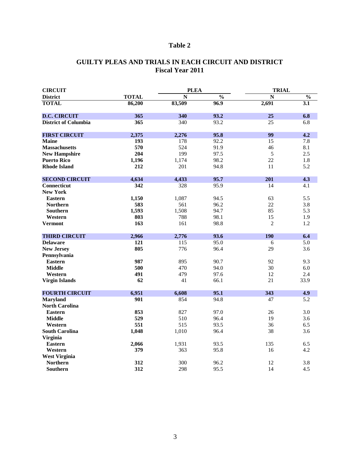# **GUILTY PLEAS AND TRIALS IN EACH CIRCUIT AND DISTRICT Fiscal Year 2011**

| <b>CIRCUIT</b>                    |              | <b>PLEA</b> |               | <b>TRIAL</b>   |                  |
|-----------------------------------|--------------|-------------|---------------|----------------|------------------|
| <b>District</b>                   | <b>TOTAL</b> | N           | $\frac{0}{0}$ | N              | $\frac{1}{2}$    |
| <b>TOTAL</b>                      | 86,200       | 83,509      | 96.9          | 2,691          | $\overline{3.1}$ |
| <b>D.C. CIRCUIT</b>               | 365          | 340         | 93.2          | 25             | 6.8              |
| <b>District of Columbia</b>       | 365          | 340         | 93.2          | 25             | 6.8              |
| <b>FIRST CIRCUIT</b>              | 2,375        | 2,276       | 95.8          | 99             | 4.2              |
| <b>Maine</b>                      | 193          | 178         | 92.2          | 15             | 7.8              |
| <b>Massachusetts</b>              | 570          | 524         | 91.9          | 46             | 8.1              |
| <b>New Hampshire</b>              | 204          | 199         | 97.5          | 5              | 2.5              |
| <b>Puerto Rico</b>                | 1,196        | 1,174       | 98.2          | 22             | 1.8              |
| <b>Rhode Island</b>               | 212          | 201         | 94.8          | 11             | 5.2              |
| <b>SECOND CIRCUIT</b>             | 4,634        | 4,433       | 95.7          | 201            | 4.3              |
| <b>Connecticut</b>                | 342          | 328         | 95.9          | 14             | 4.1              |
| <b>New York</b>                   |              |             |               |                |                  |
| <b>Eastern</b>                    | 1,150        | 1,087       | 94.5          | 63             | 5.5              |
| <b>Northern</b>                   | 583          | 561         | 96.2          | 22             | 3.8              |
| <b>Southern</b>                   | 1,593        | 1,508       | 94.7          | 85             | 5.3              |
| Western                           | 803          | 788         | 98.1          | 15             | 1.9              |
| <b>Vermont</b>                    | 163          | 161         | 98.8          | $\overline{2}$ | 1.2              |
| <b>THIRD CIRCUIT</b>              | 2,966        | 2,776       | 93.6          | <b>190</b>     | 6.4              |
| <b>Delaware</b>                   | 121          | 115         | 95.0          | 6              | 5.0              |
| <b>New Jersey</b><br>Pennsylvania | 805          | 776         | 96.4          | 29             | 3.6              |
| <b>Eastern</b>                    | 987          | 895         | 90.7          | 92             | 9.3              |
| <b>Middle</b>                     | 500          | 470         | 94.0          | 30             | 6.0              |
| Western                           | 491          | 479         | 97.6          | 12             | 2.4              |
| <b>Virgin Islands</b>             | 62           | 41          | 66.1          | 21             | 33.9             |
| <b>FOURTH CIRCUIT</b>             | 6,951        | 6,608       | 95.1          | 343            | 4.9              |
| <b>Maryland</b>                   | 901          | 854         | 94.8          | 47             | 5.2              |
| <b>North Carolina</b>             |              |             |               |                |                  |
| <b>Eastern</b>                    | 853          | 827         | 97.0          | 26             | 3.0              |
| <b>Middle</b>                     | 529          | 510         | 96.4          | 19             | 3.6              |
| Western                           | 551          | 515         | 93.5          | 36             | 6.5              |
| <b>South Carolina</b>             | 1,048        | 1,010       | 96.4          | 38             | 3.6              |
| <b>Virginia</b>                   |              |             |               |                |                  |
| <b>Eastern</b>                    | 2,066        | 1,931       | 93.5          | 135            | 6.5              |
| Western                           | 379          | 363         | 95.8          | 16             | 4.2              |
| <b>West Virginia</b>              |              |             |               |                |                  |
| <b>Northern</b>                   | 312          | 300         | 96.2          | 12             | 3.8              |
| Southern                          | 312          | 298         | 95.5          | 14             | 4.5              |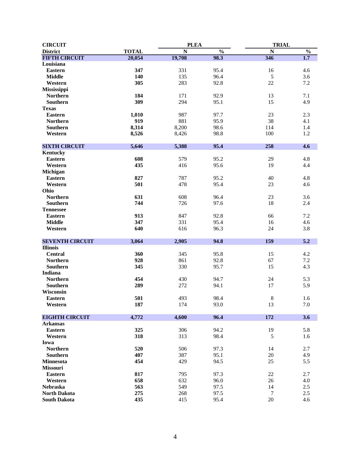| <b>CIRCUIT</b>         |              | <b>PLEA</b> |               | <b>TRIAL</b> |               |
|------------------------|--------------|-------------|---------------|--------------|---------------|
| <b>District</b>        | <b>TOTAL</b> | N           | $\frac{0}{0}$ | N            | $\frac{0}{0}$ |
| <b>FIFTH CIRCUIT</b>   | 20,054       | 19,708      | 98.3          | 346          | 1.7           |
| Louisiana              |              |             |               |              |               |
| <b>Eastern</b>         | 347          | 331         | 95.4          | 16           | 4.6           |
| <b>Middle</b>          | 140          | 135         | 96.4          | 5            | 3.6           |
| Western                | 305          | 283         | 92.8          | 22           | 7.2           |
| <b>Mississippi</b>     |              |             |               |              |               |
| <b>Northern</b>        | 184          | 171         | 92.9          | 13           | 7.1           |
| Southern               | 309          | 294         | 95.1          | 15           | 4.9           |
| <b>Texas</b>           |              |             |               |              |               |
| <b>Eastern</b>         | 1,010        | 987         | 97.7          | 23           | 2.3           |
| <b>Northern</b>        | 919          | 881         | 95.9          | 38           | 4.1           |
| <b>Southern</b>        | 8,314        | 8,200       | 98.6          | 114          | 1.4           |
| Western                | 8,526        | 8,426       | 98.8          | 100          | 1.2           |
|                        |              |             |               |              |               |
| <b>SIXTH CIRCUIT</b>   | 5,646        | 5,388       | 95.4          | 258          | 4.6           |
| <b>Kentucky</b>        |              |             |               |              |               |
| <b>Eastern</b>         | 608          | 579         | 95.2          | 29           | 4.8           |
| Western                | 435          | 416         | 95.6          | 19           | 4.4           |
| <b>Michigan</b>        |              |             |               |              |               |
| <b>Eastern</b>         | 827          | 787         | 95.2          | 40           | 4.8           |
| Western                | 501          | 478         | 95.4          | 23           | 4.6           |
| Ohio                   |              |             |               |              |               |
| <b>Northern</b>        | 631          | 608         | 96.4          | 23           | 3.6           |
| <b>Southern</b>        | 744          | 726         | 97.6          | 18           | 2.4           |
| <b>Tennessee</b>       |              |             |               |              |               |
| <b>Eastern</b>         | 913          | 847         | 92.8          | 66           | 7.2           |
| <b>Middle</b>          | 347          |             | 95.4          |              |               |
|                        | 640          | 331         |               | 16           | 4.6           |
| Western                |              | 616         | 96.3          | 24           | 3.8           |
| <b>SEVENTH CIRCUIT</b> | 3,064        | 2,905       | 94.8          | 159          | 5.2           |
| <b>Illinois</b>        |              |             |               |              |               |
| <b>Central</b>         | 360          | 345         | 95.8          | 15           | 4.2           |
| <b>Northern</b>        | 928          | 861         | 92.8          | 67           | $7.2\,$       |
| <b>Southern</b>        | 345          | 330         | 95.7          | 15           | 4.3           |
| Indiana                |              |             |               |              |               |
| <b>Northern</b>        | 454          | 430         | 94.7          | 24           | 5.3           |
| <b>Southern</b>        | 289          | 272         | 94.1          | 17           | 5.9           |
| Wisconsin              |              |             |               |              |               |
| <b>Eastern</b>         | 501          | 493         | 98.4          | 8            | 1.6           |
| Western                | 187          | 174         | 93.0          | 13           | 7.0           |
|                        |              |             |               |              |               |
| <b>EIGHTH CIRCUIT</b>  | 4,772        | 4,600       | 96.4          | 172          | 3.6           |
| <b>Arkansas</b>        |              |             |               |              |               |
| <b>Eastern</b>         | 325          | 306         | 94.2          | 19           | 5.8           |
| Western                | 318          | 313         | 98.4          | 5            | 1.6           |
| Iowa                   |              |             |               |              |               |
| <b>Northern</b>        | 520          | 506         | 97.3          | 14           | 2.7           |
| <b>Southern</b>        | 407          | 387         | 95.1          | 20           | 4.9           |
| <b>Minnesota</b>       | 454          | 429         | 94.5          | 25           | 5.5           |
| <b>Missouri</b>        |              |             |               |              |               |
| <b>Eastern</b>         | 817          | 795         | 97.3          | 22           | 2.7           |
| Western                | 658          | 632         | 96.0          | 26           | 4.0           |
| <b>Nebraska</b>        | 563          | 549         | 97.5          | 14           | 2.5           |
| <b>North Dakota</b>    | 275          | 268         | 97.5          | 7            | 2.5           |
| <b>South Dakota</b>    | 435          | 415         | 95.4          | 20           | 4.6           |
|                        |              |             |               |              |               |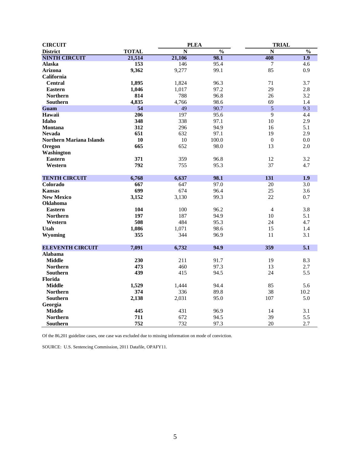| <b>CIRCUIT</b>                            |              | <b>PLEA</b> |               | <b>TRIAL</b>     |               |
|-------------------------------------------|--------------|-------------|---------------|------------------|---------------|
| <b>District</b>                           | <b>TOTAL</b> | N           | $\frac{0}{0}$ | N                | $\frac{0}{0}$ |
| <b>NINTH CIRCUIT</b>                      | 21,514       | 21,106      | 98.1          | 408              | 1.9           |
| <b>Alaska</b>                             | 153          | 146         | 95.4          | 7                | 4.6           |
| <b>Arizona</b>                            | 9,362        | 9,277       | 99.1          | 85               | 0.9           |
| California                                |              |             |               |                  |               |
| <b>Central</b>                            | 1,895        | 1,824       | 96.3          | 71               | 3.7           |
| <b>Eastern</b>                            | 1,046        | 1,017       | 97.2          | 29               | 2.8           |
| <b>Northern</b>                           | 814          | 788         | 96.8          | 26               | 3.2           |
| <b>Southern</b>                           | 4,835        | 4,766       | 98.6          | 69               | 1.4           |
| Guam                                      | 54           | 49          | 90.7          | 5                | 9.3           |
| Hawaii                                    | 206          | 197         | 95.6          | 9                | 4.4           |
| Idaho                                     | 348          | 338         | 97.1          | 10               | 2.9           |
| <b>Montana</b>                            | 312          | 296         | 94.9          | 16               | 5.1           |
| <b>Nevada</b>                             | 651          | 632         | 97.1          | 19               | 2.9           |
| <b>Northern Mariana Islands</b>           | 10           | 10          | 100.0         | $\boldsymbol{0}$ | 0.0           |
| <b>Oregon</b>                             | 665          | 652         | 98.0          | 13               | 2.0           |
| <b>Washington</b>                         |              |             |               |                  |               |
| <b>Eastern</b>                            | 371          | 359         | 96.8          | 12               | 3.2           |
| Western                                   | 792          | 755         | 95.3          | 37               | 4.7           |
|                                           |              |             |               |                  |               |
| <b>TENTH CIRCUIT</b>                      | 6,768        | 6,637       | 98.1          | 131              | 1.9           |
| Colorado                                  | 667          | 647         | 97.0          | 20               | 3.0           |
| <b>Kansas</b>                             | 699          | 674         | 96.4          | 25               | 3.6           |
| <b>New Mexico</b>                         | 3,152        | 3,130       | 99.3          | 22               | 0.7           |
| <b>Oklahoma</b>                           |              |             |               |                  |               |
| <b>Eastern</b>                            | 104          | 100         | 96.2          | $\overline{4}$   | 3.8           |
| <b>Northern</b>                           | 197          | 187         | 94.9          | 10               | 5.1           |
| Western                                   | 508          | 484         | 95.3          | 24               | 4.7           |
| Utah                                      | 1,086        | 1,071       | 98.6          | 15               | 1.4           |
| <b>Wyoming</b>                            | 355          | 344         | 96.9          | 11               | 3.1           |
|                                           |              |             |               |                  |               |
| <b>ELEVENTH CIRCUIT</b><br><b>Alabama</b> | 7,091        | 6,732       | 94.9          | 359              | 5.1           |
| <b>Middle</b>                             | 230          | 211         | 91.7          | 19               | 8.3           |
| <b>Northern</b>                           | 473          | 460         | 97.3          | 13               | 2.7           |
| Southern                                  | 439          | 415         | 94.5          | 24               | 5.5           |
| Florida                                   |              |             |               |                  |               |
| <b>Middle</b>                             |              | 1,444       | 94.4          | 85               | 5.6           |
| <b>Northern</b>                           | 1,529<br>374 | 336         | 89.8          | 38               | 10.2          |
|                                           |              |             |               |                  |               |
| <b>Southern</b>                           | 2,138        | 2,031       | 95.0          | 107              | 5.0           |
| Georgia<br><b>Middle</b>                  | 445          | 431         | 96.9          | 14               | 3.1           |
|                                           | 711          |             | 94.5          |                  |               |
| <b>Northern</b>                           |              | 672         |               | 39               | 5.5           |
| Southern                                  | 752          | 732         | 97.3          | 20               | 2.7           |

Of the 86,201 guideline cases, one case was excluded due to missing information on mode of conviction.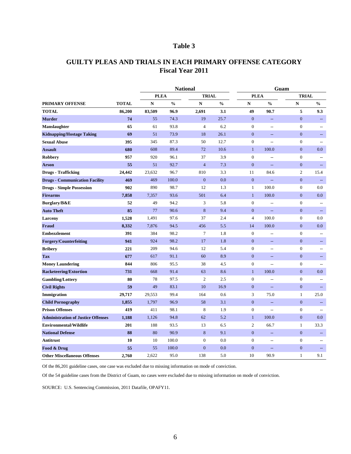|                                           |              |             |               | <b>National</b> |                | Guam             |                                                     |                  |                          |
|-------------------------------------------|--------------|-------------|---------------|-----------------|----------------|------------------|-----------------------------------------------------|------------------|--------------------------|
|                                           |              | <b>PLEA</b> |               | <b>TRIAL</b>    |                | <b>PLEA</b>      |                                                     | <b>TRIAL</b>     |                          |
| PRIMARY OFFENSE                           | <b>TOTAL</b> | ${\bf N}$   | $\frac{0}{0}$ | $\mathbf N$     | $\frac{6}{10}$ | ${\bf N}$        | $\frac{0}{0}$                                       | ${\bf N}$        | $\frac{0}{0}$            |
| <b>TOTAL</b>                              | 86,200       | 83,509      | 96.9          | 2,691           | 3.1            | 49               | 90.7                                                | 5                | 9.3                      |
| <b>Murder</b>                             | 74           | 55          | 74.3          | 19              | 25.7           | $\mathbf{0}$     | $-\!$                                               | $\boldsymbol{0}$ | --                       |
| <b>Manslaughter</b>                       | 65           | 61          | 93.8          | $\overline{4}$  | 6.2            | $\overline{0}$   | $-\!$                                               | $\boldsymbol{0}$ | --                       |
| <b>Kidnapping/Hostage Taking</b>          | 69           | 51          | 73.9          | 18              | 26.1           | $\theta$         | $-\!$                                               | $\overline{0}$   |                          |
| <b>Sexual Abuse</b>                       | 395          | 345         | 87.3          | 50              | 12.7           | $\boldsymbol{0}$ | $-$                                                 | $\boldsymbol{0}$ |                          |
| <b>Assault</b>                            | 680          | 608         | 89.4          | 72              | 10.6           | $\mathbf{1}$     | 100.0                                               | $\boldsymbol{0}$ | $0.0\,$                  |
| <b>Robbery</b>                            | 957          | 920         | 96.1          | 37              | 3.9            | $\overline{0}$   | $\hspace{0.05cm} \textbf{--}$                       | $\boldsymbol{0}$ | $\overline{\phantom{m}}$ |
| <b>Arson</b>                              | 55           | 51          | 92.7          | $\overline{4}$  | 7.3            | $\theta$         | $\qquad \qquad -$                                   | $\boldsymbol{0}$ | $-\!$                    |
| <b>Drugs - Trafficking</b>                | 24,442       | 23,632      | 96.7          | 810             | 3.3            | 11               | 84.6                                                | $\overline{2}$   | 15.4                     |
| <b>Drugs - Communication Facility</b>     | 469          | 469         | 100.0         | $\overline{0}$  | 0.0            | $\mathbf{0}$     | $\hspace{0.05cm} -\hspace{0.05cm} -\hspace{0.05cm}$ | $\overline{0}$   |                          |
| <b>Drugs - Simple Possession</b>          | 902          | 890         | 98.7          | 12              | 1.3            | $\mathbf{1}$     | 100.0                                               | $\boldsymbol{0}$ | 0.0                      |
| <b>Firearms</b>                           | 7,858        | 7,357       | 93.6          | 501             | 6.4            | $\mathbf{1}$     | 100.0                                               | $\boldsymbol{0}$ | 0.0                      |
| Burglary/B&E                              | 52           | 49          | 94.2          | 3               | 5.8            | $\mathbf{0}$     | $\overline{\phantom{m}}$                            | $\boldsymbol{0}$ | $\overline{\phantom{m}}$ |
| <b>Auto Theft</b>                         | 85           | 77          | 90.6          | 8               | 9.4            | $\boldsymbol{0}$ | $\overline{\phantom{m}}$                            | $\boldsymbol{0}$ |                          |
| <b>Larceny</b>                            | 1,528        | 1,491       | 97.6          | 37              | 2.4            | $\overline{4}$   | 100.0                                               | $\boldsymbol{0}$ | 0.0                      |
| Fraud                                     | 8,332        | 7,876       | 94.5          | 456             | 5.5            | 14               | 100.0                                               | $\boldsymbol{0}$ | 0.0                      |
| <b>Embezzlement</b>                       | 391          | 384         | 98.2          | 7               | 1.8            | $\mathbf{0}$     | $\overline{\phantom{m}}$                            | $\boldsymbol{0}$ | $\overline{\phantom{m}}$ |
| <b>Forgery/Counterfeiting</b>             | 941          | 924         | 98.2          | 17              | 1.8            | $\mathbf{0}$     |                                                     | $\boldsymbol{0}$ |                          |
| <b>Bribery</b>                            | 221          | 209         | 94.6          | 12              | 5.4            | $\overline{0}$   | $\hspace{0.05cm}$ $\hspace{0.05cm}$                 | $\boldsymbol{0}$ |                          |
| <b>Tax</b>                                | 677          | 617         | 91.1          | 60              | 8.9            | $\mathbf{0}$     | $-\!$                                               | $\boldsymbol{0}$ | $\overline{\phantom{m}}$ |
| <b>Money Laundering</b>                   | 844          | 806         | 95.5          | 38              | 4.5            | $\boldsymbol{0}$ | $\hspace{0.05cm}$ $\hspace{0.05cm}$                 | $\boldsymbol{0}$ |                          |
| <b>Racketeering/Extortion</b>             | 731          | 668         | 91.4          | 63              | 8.6            | $\mathbf{1}$     | 100.0                                               | $\boldsymbol{0}$ | $0.0\,$                  |
| <b>Gambling/Lottery</b>                   | 80           | 78          | 97.5          | $\overline{2}$  | 2.5            | $\mathbf{0}$     | $\overline{\phantom{m}}$                            | $\boldsymbol{0}$ | $\overline{\phantom{m}}$ |
| <b>Civil Rights</b>                       | 59           | 49          | 83.1          | 10              | 16.9           | $\mathbf{0}$     | $\overline{\phantom{m}}$                            | $\boldsymbol{0}$ |                          |
| Immigration                               | 29,717       | 29,553      | 99.4          | 164             | 0.6            | 3                | 75.0                                                | $\mathbf{1}$     | 25.0                     |
| <b>Child Pornography</b>                  | 1,855        | 1,797       | 96.9          | 58              | 3.1            | $\mathbf{0}$     | $-\!$                                               | $\overline{0}$   | --                       |
| <b>Prison Offenses</b>                    | 419          | 411         | 98.1          | 8               | 1.9            | $\boldsymbol{0}$ | $\overline{\phantom{m}}$                            | $\boldsymbol{0}$ | $\overline{\phantom{a}}$ |
| <b>Administration of Justice Offenses</b> | 1,188        | 1,126       | 94.8          | 62              | 5.2            | $\mathbf{1}$     | 100.0                                               | $\boldsymbol{0}$ | 0.0                      |
| <b>Environmental/Wildlife</b>             | 201          | 188         | 93.5          | 13              | 6.5            | $\overline{2}$   | 66.7                                                | $\mathbf{1}$     | 33.3                     |
| <b>National Defense</b>                   | 88           | 80          | 90.9          | 8               | 9.1            | $\mathbf{0}$     | $\hspace{0.05cm}$ – $\hspace{0.05cm}$               | $\boldsymbol{0}$ |                          |
| <b>Antitrust</b>                          | <b>10</b>    | 10          | 100.0         | $\overline{0}$  | 0.0            | $\boldsymbol{0}$ | $\hspace{0.05cm}$ $\hspace{0.05cm}$                 | $\boldsymbol{0}$ | $\overline{\phantom{a}}$ |
| Food & Drug                               | 55           | 55          | 100.0         | $\overline{0}$  | 0.0            | $\boldsymbol{0}$ | $\qquad \qquad -$                                   | $\boldsymbol{0}$ | $--$                     |
| <b>Other Miscellaneous Offenses</b>       | 2,760        | 2,622       | 95.0          | 138             | 5.0            | 10               | 90.9                                                | $\mathbf{1}$     | 9.1                      |

Of the 86,201 guideline cases, one case was excluded due to missing information on mode of conviction.

Of the 54 guideline cases from the District of Guam, no cases were excluded due to missing information on mode of conviction.

SOURCE: U.S. Sentencing Commission, 2011 Datafile, OPAFY11.

# **Fiscal Year 2011 GUILTY PLEAS AND TRIALS IN EACH PRIMARY OFFENSE CATEGORY**

# **Table 3**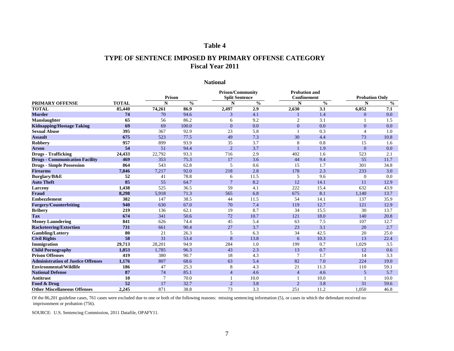|                                           |              |               |               | <b>Prison/Community</b> |               | <b>Probation and</b> |               |                       |               |
|-------------------------------------------|--------------|---------------|---------------|-------------------------|---------------|----------------------|---------------|-----------------------|---------------|
|                                           |              | <b>Prison</b> |               | <b>Split Sentence</b>   |               | <b>Confinement</b>   |               | <b>Probation Only</b> |               |
| <b>PRIMARY OFFENSE</b>                    | <b>TOTAL</b> | N             | $\frac{6}{6}$ | N                       | $\frac{6}{6}$ | N                    | $\frac{6}{6}$ | N                     | $\frac{6}{6}$ |
| <b>TOTAL</b>                              | 85,440       | 74,261        | 86.9          | 2,497                   | 2.9           | 2,630                | 3.1           | 6,052                 | 7.1           |
| <b>Murder</b>                             | 74           | 70            | 94.6          | 3                       | 4.1           |                      | 1.4           | $\overline{0}$        | 0.0           |
| <b>Manslaughter</b>                       | 65           | 56            | 86.2          | 6                       | 9.2           | $\overline{2}$       | 3.1           |                       | 1.5           |
| <b>Kidnapping/Hostage Taking</b>          | 69           | 69            | 100.0         | $\overline{0}$          | 0.0           | $\boldsymbol{0}$     | 0.0           | $\mathbf{0}$          | 0.0           |
| <b>Sexual Abuse</b>                       | 395          | 367           | 92.9          | 23                      | 5.8           |                      | 0.3           | 4                     | 1.0           |
| <b>Assault</b>                            | 675          | 523           | 77.5          | 49                      | 7.3           | 30                   | 4.4           | 73                    | 10.8          |
| <b>Robbery</b>                            | 957          | 899           | 93.9          | 35                      | 3.7           | $8\phantom{1}$       | 0.8           | 15                    | 1.6           |
| <b>Arson</b>                              | 54           | 51            | 94.4          | $\overline{2}$          | 3.7           |                      | 1.9           | $\overline{0}$        | 0.0           |
| <b>Drugs - Trafficking</b>                | 24,433       | 22,792        | 93.3          | 716                     | 2.9           | 402                  | 1.6           | 523                   | 2.1           |
| <b>Drugs - Communication Facility</b>     | 469          | 353           | 75.3          | 17                      | 3.6           | 44                   | 9.4           | 55                    | 11.7          |
| <b>Drugs - Simple Possession</b>          | 864          | 543           | 62.8          | 5                       | 0.6           | 15                   | 1.7           | 301                   | 34.8          |
| <b>Firearms</b>                           | 7,846        | 7,217         | 92.0          | 218                     | 2.8           | 178                  | 2.3           | 233                   | 3.0           |
| Burglary/B&E                              | 52           | 41            | 78.8          | 6                       | 11.5          | 5                    | 9.6           | $\theta$              | 0.0           |
| <b>Auto Theft</b>                         | 85           | 55            | 64.7          | $\overline{7}$          | 8.2           | 12                   | 14.1          | 11                    | 12.9          |
| Larceny                                   | 1,438        | 525           | 36.5          | 59                      | 4.1           | 222                  | 15.4          | 632                   | 43.9          |
| Fraud                                     | 8,298        | 5,918         | 71.3          | 565                     | 6.8           | 675                  | 8.1           | 1,140                 | 13.7          |
| <b>Embezzlement</b>                       | 382          | 147           | 38.5          | 44                      | 11.5          | 54                   | 14.1          | 137                   | 35.9          |
| <b>Forgery/Counterfeiting</b>             | 940          | 630           | 67.0          | 70                      | 7.4           | 119                  | 12.7          | 121                   | 12.9          |
| <b>Bribery</b>                            | 219          | 136           | 62.1          | 19                      | 8.7           | 34                   | 15.5          | 30                    | 13.7          |
| <b>Tax</b>                                | 674          | 341           | 50.6          | 72                      | 10.7          | 121                  | 18.0          | 140                   | 20.8          |
| <b>Money Laundering</b>                   | 841          | 626           | 74.4          | 45                      | 5.4           | 63                   | 7.5           | 107                   | 12.7          |
| <b>Racketeering/Extortion</b>             | 731          | 661           | 90.4          | 27                      | 3.7           | 23                   | 3.1           | 20                    | 2.7           |
| <b>Gambling/Lottery</b>                   | 80           | 21            | 26.3          | 5                       | 6.3           | 34                   | 42.5          | 20                    | 25.0          |
| <b>Civil Rights</b>                       | 58           | 31            | 53.4          | 8                       | 13.8          | 6                    | 10.3          | 13                    | 22.4          |
| Immigration                               | 29,713       | 28,201        | 94.9          | 284                     | 1.0           | 199                  | 0.7           | 1,029                 | 3.5           |
| <b>Child Pornography</b>                  | 1,853        | 1,785         | 96.3          | 43                      | 2.3           | 13                   | 0.7           | 12                    | 0.6           |
| <b>Prison Offenses</b>                    | 419          | 380           | 90.7          | 18                      | 4.3           | $\tau$               | 1.7           | 14                    | 3.3           |
| <b>Administration of Justice Offenses</b> | 1,176        | 807           | 68.6          | 63                      | 5.4           | 82                   | 7.0           | 224                   | 19.0          |
| <b>Environmental/Wildlife</b>             | 186          | 47            | 25.3          | 8                       | 4.3           | 21                   | 11.3          | 110                   | 59.1          |
| <b>National Defense</b>                   | 87           | 74            | 85.1          | $\overline{4}$          | 4.6           | $\overline{4}$       | 4.6           | $\overline{5}$        | 5.7           |
| <b>Antitrust</b>                          | <b>10</b>    |               | 70.0          |                         | 10.0          |                      | 10.0          |                       | 10.0          |
| Food & Drug                               | 52           | 17            | 32.7          | $\overline{2}$          | 3.8           | $\overline{2}$       | 3.8           | 31                    | 59.6          |
| <b>Other Miscellaneous Offenses</b>       | 2,245        | 871           | 38.8          | 73                      | 3.3           | 251                  | 11.2          | 1,050                 | 46.8          |

Of the 86,201 guideline cases, 761 cases were excluded due to one or both of the following reasons: missing sentencing information (5), or cases in which the defendant received no imprisonment or probation (756).

SOURCE: U.S. Sentencing Commission, 2011 Datafile, OPAFY11.

# **Table 4**

# **TYPE OF SENTENCE IMPOSED BY PRIMARY OFFENSE CATEGORY Fiscal Year 2011**

## **National**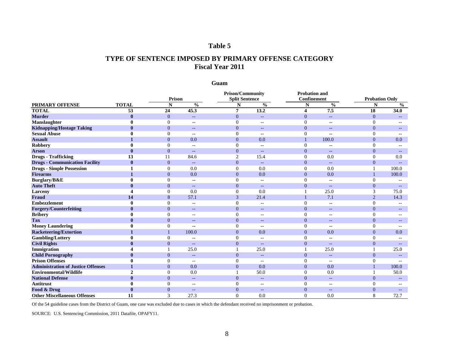|                                           |              | Prison           |                          |                | <b>Split Sentence</b>               |                  | <b>Confinement</b>                                    |                  | <b>Probation Only</b> |  |
|-------------------------------------------|--------------|------------------|--------------------------|----------------|-------------------------------------|------------------|-------------------------------------------------------|------------------|-----------------------|--|
| <b>PRIMARY OFFENSE</b>                    | <b>TOTAL</b> | N                | $\frac{0}{0}$            | N              | $\frac{6}{6}$                       | N                | $\frac{0}{0}$                                         | N                | $\frac{6}{6}$         |  |
| <b>TOTAL</b>                              | 53           | 24               | 45.3                     | $\overline{7}$ | 13.2                                | 4                | 7.5                                                   | 18               | 34.0                  |  |
| <b>Murder</b>                             | $\mathbf 0$  | $\overline{0}$   | $--$                     | $\Omega$       |                                     | $\overline{0}$   | н.                                                    | 0                |                       |  |
| <b>Manslaughter</b>                       |              |                  | $\overline{\phantom{m}}$ |                | $\qquad \qquad -$                   |                  | $\hspace{0.05cm}$ $\hspace{0.05cm}$ $\hspace{0.05cm}$ |                  |                       |  |
| <b>Kidnapping/Hostage Taking</b>          | $\bf{0}$     | $\overline{0}$   | $\qquad \qquad -$        | $\overline{0}$ | $\hspace{0.05cm}$ $\hspace{0.05cm}$ | $\mathbf{0}$     | $- -$                                                 | $\overline{0}$   |                       |  |
| <b>Sexual Abuse</b>                       |              |                  | $-\,-$                   |                |                                     |                  | $-\,-$                                                |                  |                       |  |
| <b>Assault</b>                            |              | $\overline{0}$   | 0.0                      | $\overline{0}$ | 0.0                                 |                  | 100.0                                                 | $\overline{0}$   | 0.0                   |  |
| <b>Robbery</b>                            |              |                  | $- -$                    |                | $- -$                               |                  | --                                                    |                  |                       |  |
| <b>Arson</b>                              |              | $\overline{0}$   | $\qquad \qquad -$        | $\overline{0}$ | $\qquad \qquad -$                   | $\boldsymbol{0}$ | н.                                                    | 0                |                       |  |
| <b>Drugs - Trafficking</b>                | 13           |                  | 84.6                     |                | 15.4                                | $\mathbf{0}$     | 0.0                                                   |                  | 0.0                   |  |
| <b>Drugs - Communication Facility</b>     |              | $\overline{0}$   |                          | $\left($       |                                     | $\mathbf{0}$     |                                                       | $\boldsymbol{0}$ |                       |  |
| <b>Drugs - Simple Possession</b>          |              |                  | 0.0                      | $\left($       | 0.0                                 | $\mathbf{0}$     | 0.0                                                   |                  | 100.0                 |  |
| <b>Firearms</b>                           |              | $\overline{0}$   | 0.0                      | $\overline{0}$ | 0.0                                 | $\mathbf{0}$     | 0.0                                                   |                  | 100.0                 |  |
| <b>Burglary/B&amp;E</b>                   |              |                  | $-\,-$                   |                | $- -$                               | $\overline{0}$   | $\qquad \qquad -$                                     |                  |                       |  |
| <b>Auto Theft</b>                         |              | $\overline{0}$   | $--$                     | $\overline{0}$ | $\qquad \qquad -$                   | $\mathbf{0}$     | н.                                                    | 0                |                       |  |
| <b>Larceny</b>                            |              |                  | 0.0                      | $\Omega$       | 0.0                                 |                  | 25.0                                                  | 3                | 75.0                  |  |
| Fraud                                     | 14           | 8                | 57.1                     | 3              | 21.4                                |                  | 7.1                                                   | 2                | 14.3                  |  |
| <b>Embezzlement</b>                       |              |                  | $- -$                    |                | $- -$                               |                  | $\qquad \qquad -$                                     |                  |                       |  |
| <b>Forgery/Counterfeiting</b>             | $\bf{0}$     | $\overline{0}$   | $\qquad \qquad -$        | $\theta$       | $\qquad \qquad -$                   | $\mathbf{0}$     | $\qquad \qquad -$                                     | 0                |                       |  |
| <b>Bribery</b>                            |              |                  | $-\,-$                   |                | $\qquad \qquad -$                   |                  | $\overline{\phantom{m}}$                              |                  |                       |  |
| <b>Tax</b>                                |              | $\overline{0}$   | $\overline{\phantom{m}}$ | $\theta$       | $-\,-$                              | $\mathbf{0}$     | $\qquad \qquad -$                                     | $\overline{0}$   |                       |  |
| <b>Money Laundering</b>                   |              |                  | --                       |                |                                     |                  | --                                                    |                  |                       |  |
| <b>Racketeering/Extortion</b>             |              |                  | 100.0                    | $\theta$       | 0.0                                 | $\mathbf{0}$     | 0.0                                                   | $\overline{0}$   | 0.0                   |  |
| <b>Gambling/Lottery</b>                   |              |                  | $-\,-$                   |                | $\qquad \qquad -$                   | $\overline{0}$   | $-\,-$                                                |                  |                       |  |
| <b>Civil Rights</b>                       |              | $\overline{0}$   | $--$                     | $\theta$       | $\sim$ $\sim$                       | $\mathbf{0}$     | $\qquad \qquad -$                                     | 0                |                       |  |
| <b>Immigration</b>                        |              |                  | 25.0                     |                | 25.0                                |                  | 25.0                                                  |                  | 25.0                  |  |
| <b>Child Pornography</b>                  |              | $\overline{0}$   | $\overline{\phantom{m}}$ | $\overline{0}$ |                                     | $\mathbf{0}$     |                                                       | $\theta$         |                       |  |
| <b>Prison Offenses</b>                    |              |                  | --                       |                |                                     |                  | --                                                    |                  |                       |  |
| <b>Administration of Justice Offenses</b> | $\mathbf{L}$ | $\mathbf{0}$     | 0.0                      | $\overline{0}$ | 0.0                                 | $\overline{0}$   | 0.0                                                   |                  | 100.0                 |  |
| <b>Environmental/Wildlife</b>             | 2            | $\theta$         | 0.0                      |                | 50.0                                | $\boldsymbol{0}$ | 0.0                                                   |                  | 50.0                  |  |
| <b>National Defense</b>                   |              | $\boldsymbol{0}$ | $--$                     | $\overline{0}$ | $--$                                | $\boldsymbol{0}$ | $--$                                                  | $\rm 0$          |                       |  |
| <b>Antitrust</b>                          |              |                  | $- -$                    |                | $--$                                | $\theta$         | $\qquad \qquad -$                                     |                  |                       |  |
| Food & Drug                               |              | $\boldsymbol{0}$ | $\overline{\phantom{m}}$ | $\overline{0}$ | $\overline{\phantom{m}}$            | $\mathbf{0}$     | $--$                                                  | $\boldsymbol{0}$ |                       |  |
| <b>Other Miscellaneous Offenses</b>       | 11           | $\overline{3}$   | 27.3                     | $\overline{0}$ | 0.0                                 | $\overline{0}$   | 0.0                                                   | 8                | 72.7                  |  |

Of the 54 guideline cases from the District of Guam, one case was excluded due to cases in which the defendant received no imprisonment or probation.

SOURCE: U.S. Sentencing Commission, 2011 Datafile, OPAFY11.

# **Table 5**

# **TYPE OF SENTENCE IMPOSED BY PRIMARY OFFENSE CATEGORY Fiscal Year 2011**

**Guam**

#### **PRIMARY OFFENSE TOTAL**<br>TOTAL 53 **TOTAL 53 24 45.3 7 13.2 4 7.5 18 34.0 Murder 0** 0 -- 0 -- 0 -- 0 -- **Manslaughter 0** 0 -- 0 -- 0 -- 0 -- **Kidnapping/Hostage Taking**  $\qquad \qquad 0 \qquad \qquad 0 \qquad \qquad -$  **0 -- 0 -- 0 --** 0 --**Sexual Abuse 1 0 1 0 1 0 1 1 0 1 1 0 1 1 0 1 1 0 1 Assault 1** 0 0.0 0.0 0.0 1 100.0 0 0.0 0.0 **Robbery 0** 0 -- 0 -- 0 -- 0 -- 0 -- 0 --**Arson 0** 0 -- 0 -- 0 -- 0 -- **Drugs - Trafficking** 13 11 84.6 2 15.4 0 0.0 0 0.0 **Drugs - Communication Facility**  $\begin{array}{cccc} 0 & 0 & -5 & 0 & -5 \\ \text{Drugs - Simple Possession} & 1 & 0 & 0.0 & 0 & 0 \\ \end{array}$ **Drugs - Simple Possession 1** 0 0.0 0 0.0 0 0.0 0 0.0 **Firearms 1** 0 0.0 0.0 0.0 0.0 0.0 0.0 1 100.0 **Burglary/B&E 0** 0 -- 0 -- 0 -- 0 -- **Auto Theft 0** 0 -- 0 -- 0 -- 0 -- **Larceny 4** 0 0.0 0.0 0.0 1 25.0 3 75.0 **Fraud 14 14 8 57.1 3 21.4 1 1 1 1 2 14.3 Embezzlement 0** 0 -- 0 -- 0 -- 0 -- **Forgery/Counterfeiting**  $\qquad \qquad 0 \qquad \qquad 0 \qquad \qquad -$  **0 -- 0 --** 0 --**Bribery 0** 0 -- 0 -- 0 -- 0 -- 0 -- 0 --**Tax 0** 0 -- 0 -- 0 -- 0 -- **Money Laundering**  $\hspace{1.6cm} 0 \hspace{1.2cm} -0 \hspace{1.2cm} -0 \hspace{1.2cm} -0 \hspace{1.2cm} -1$ **Racketeering/Extortion 1** 1 100.0 0 0.0 0 0.0 0 0.0 **Gambling/Lottery 0** 0 -- 0 -- 0 -- 0 -- 0 -- 0 --**Civil Rights 0** 0 -- 0 -- 0 -- 0 -- **Immigration 4** 1 25.0 1 25.0 1 25.0 1 25.0 1 25.0 **Child Pornography 0** 0 -- 0 -- 0 -- 0 -- **Prison Offenses 0** 0 -- 0 -- 0 -- 0 -- **Administration of Justice Offenses 1** 0 0.0 0.0 0.0 0.0 0 0.0 0 0.0 **Environmental/Wildlife**  $\qquad \qquad 2 \qquad \qquad 0 \qquad \qquad 0.0 \qquad \qquad 1 \qquad \qquad 50.0 \qquad \qquad 0 \qquad \qquad 0.0$ **National Defense 0** 0 -- 0 -- 0 -- 0 -- **N** % **N** % **N** % **N** % **N** % **N Prison/Community**<br> **Probation and<br>
Probation and<br>
Confinement Prison Split Sentence Confinement N Prison Probation Only 1 Probation Only 1 Probation Only 1 Probation Only 1 Probation Only 1 Probation Only 1 Probation Only 1 Probation Probation Only 1 Prob**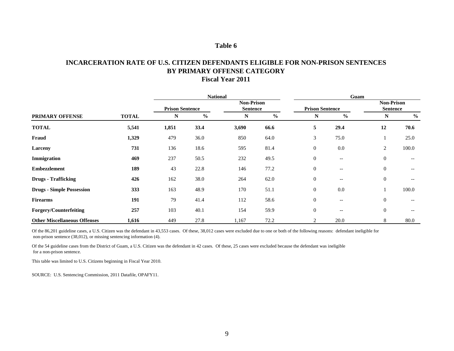Of the 86,201 guideline cases, a U.S. Citizen was the defendant in 43,553 cases. Of these, 38,012 cases were excluded due to one or both of the following reasons: defendant ineligible for non-prison sentence (38,012), or missing sentencing information (4).

|                                     |              |                        | <b>National</b> |                                      |               | Guam                   |                                       |                                      |               |  |
|-------------------------------------|--------------|------------------------|-----------------|--------------------------------------|---------------|------------------------|---------------------------------------|--------------------------------------|---------------|--|
|                                     |              | <b>Prison Sentence</b> |                 | <b>Non-Prison</b><br><b>Sentence</b> |               | <b>Prison Sentence</b> |                                       | <b>Non-Prison</b><br><b>Sentence</b> |               |  |
| PRIMARY OFFENSE                     | <b>TOTAL</b> | N                      | $\frac{0}{0}$   | $\mathbf N$                          | $\frac{0}{0}$ | N                      | $\frac{0}{0}$                         | N                                    | $\frac{6}{6}$ |  |
| <b>TOTAL</b>                        | 5,541        | 1,851                  | 33.4            | 3,690                                | 66.6          | $5\overline{)}$        | 29.4                                  | 12                                   | 70.6          |  |
| Fraud                               | 1,329        | 479                    | 36.0            | 850                                  | 64.0          | $\mathfrak{Z}$         | 75.0                                  |                                      | 25.0          |  |
| <b>Larceny</b>                      | 731          | 136                    | 18.6            | 595                                  | 81.4          | $\boldsymbol{0}$       | 0.0                                   | $\overline{2}$                       | 100.0         |  |
| Immigration                         | 469          | 237                    | 50.5            | 232                                  | 49.5          | $\boldsymbol{0}$       | $\overline{\phantom{m}}$              | $\mathbf{0}$                         | $--$          |  |
| <b>Embezzlement</b>                 | 189          | 43                     | 22.8            | 146                                  | 77.2          | $\boldsymbol{0}$       | $\overline{\phantom{m}}$              | $\mathbf{0}$                         | $--$          |  |
| <b>Drugs - Trafficking</b>          | 426          | 162                    | 38.0            | 264                                  | 62.0          | $\boldsymbol{0}$       | $\hspace{0.05cm}$ – $\hspace{0.05cm}$ | $\mathbf{0}$                         | $--$          |  |
| <b>Drugs - Simple Possession</b>    | 333          | 163                    | 48.9            | 170                                  | 51.1          | $\boldsymbol{0}$       | 0.0                                   |                                      | 100.0         |  |
| <b>Firearms</b>                     | 191          | 79                     | 41.4            | 112                                  | 58.6          | $\boldsymbol{0}$       | $\overline{\phantom{a}}$              | $\boldsymbol{0}$                     |               |  |
| <b>Forgery/Counterfeiting</b>       | 257          | 103                    | 40.1            | 154                                  | 59.9          | $\boldsymbol{0}$       | $\overline{\phantom{a}}$              | $\boldsymbol{0}$                     | $-\!$ $\!-$   |  |
| <b>Other Miscellaneous Offenses</b> | 1,616        | 449                    | 27.8            | 1,167                                | 72.2          | $\overline{2}$         | 20.0                                  | 8                                    | 80.0          |  |

Of the 54 guideline cases from the District of Guam, a U.S. Citizen was the defendant in 42 cases. Of these, 25 cases were excluded because the defendant was ineligible for a non-prison sentence.

This table was limited to U.S. Citizens beginning in Fiscal Year 2010.

SOURCE: U.S. Sentencing Commission, 2011 Datafile, OPAFY11.

# **Table 6**

# **INCARCERATION RATE OF U.S. CITIZEN DEFENDANTS ELIGIBLE FOR NON-PRISON SENTENCES BY PRIMARY OFFENSE CATEGORY Fiscal Year 2011**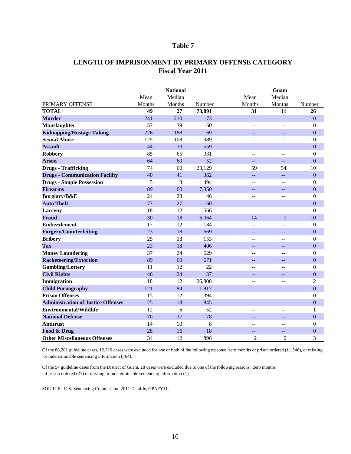### **LENGTH OF IMPRISONMENT BY PRIMARY OFFENSE CATEGORY Fiscal Year 2011**

|                                           |        | <b>National</b> |        |                | Guam              |                  |
|-------------------------------------------|--------|-----------------|--------|----------------|-------------------|------------------|
|                                           | Mean   | Median          |        | Mean           | Median            |                  |
| PRIMARY OFFENSE                           | Months | Months          | Number | Months         | Months            | Number           |
| <b>TOTAL</b>                              | 49     | 27              | 73,891 | 31             | 11                | 26               |
| <b>Murder</b>                             | 241    | 210             | 73     | $-$            | $-$               | $\boldsymbol{0}$ |
| <b>Manslaughter</b>                       | 57     | 39              | 60     | --             | $ -$              | $\boldsymbol{0}$ |
| <b>Kidnapping/Hostage Taking</b>          | 226    | 188             | 69     | $-$            | $-$               | $\boldsymbol{0}$ |
| <b>Sexual Abuse</b>                       | 125    | 108             | 389    | --             | --                | $\boldsymbol{0}$ |
| <b>Assault</b>                            | 44     | 30              | 559    | --             | --                | $\boldsymbol{0}$ |
| <b>Robbery</b>                            | 85     | 65              | 931    | --             | $\qquad \qquad -$ | $\boldsymbol{0}$ |
| <b>Arson</b>                              | 64     | 60              | 52     | --             | $-$               | $\boldsymbol{0}$ |
| <b>Drugs - Trafficking</b>                | 74     | 60              | 23,129 | 59             | 54                | 10               |
| <b>Drugs - Communication Facility</b>     | 40     | 41              | 362    | $-$            | $\qquad \qquad -$ | $\boldsymbol{0}$ |
| <b>Drugs - Simple Possession</b>          | 5      | 3               | 494    | --             | $-$               | $\boldsymbol{0}$ |
| <b>Firearms</b>                           | 89     | 60              | 7,350  | --             | н.                | $\boldsymbol{0}$ |
| Burglary/B&E                              | 24     | 23              | 46     | $-$            | $-$               | $\boldsymbol{0}$ |
| <b>Auto Theft</b>                         | 77     | 27              | 60     | $-$            | $-$               | $\boldsymbol{0}$ |
| <b>Larceny</b>                            | 18     | 12              | 566    | --             | --                | $\boldsymbol{0}$ |
| <b>Fraud</b>                              | 30     | 18              | 6,064  | 14             | 7                 | 10               |
| <b>Embezzlement</b>                       | 17     | 12              | 184    | $- -$          | --                | $\boldsymbol{0}$ |
| <b>Forgery/Counterfeiting</b>             | 23     | 18              | 669    | $-$            | --                | $\boldsymbol{0}$ |
| <b>Bribery</b>                            | 25     | 18              | 153    | --             | --                | $\boldsymbol{0}$ |
| <b>Tax</b>                                | 23     | 18              | 406    | $- -$          | --                | $\boldsymbol{0}$ |
| <b>Money Laundering</b>                   | 37     | 24              | 629    | $-$            | $-$               | $\boldsymbol{0}$ |
| <b>Racketeering/Extortion</b>             | 89     | 60              | 671    | --             | $-$               | $\boldsymbol{0}$ |
| <b>Gambling/Lottery</b>                   | 11     | 12              | 22     | $- -$          | $- -$             | $\boldsymbol{0}$ |
| <b>Civil Rights</b>                       | 46     | 24              | 37     | --             | --                | $\boldsymbol{0}$ |
| <b>Immigration</b>                        | 18     | 12              | 26,808 | --             | --                | $\mathbf{2}$     |
| <b>Child Pornography</b>                  | 121    | 84              | 1,817  |                |                   | $\boldsymbol{0}$ |
| <b>Prison Offenses</b>                    | 15     | 12              | 394    |                | --                | $\boldsymbol{0}$ |
| <b>Administration of Justice Offenses</b> | 25     | 18              | 845    |                |                   | $\boldsymbol{0}$ |
| <b>Environmental/Wildlife</b>             | 12     | 6               | 52     | --             | --                |                  |
| <b>National Defense</b>                   | 70     | 37              | 78     | $-$            | --                | $\mathbf{0}$     |
| <b>Antitrust</b>                          | 14     | 10              | 8      | --             | $-$               | $\boldsymbol{0}$ |
| Food & Drug                               | 28     | 16              | 18     | $- -$          | --                | $\overline{0}$   |
| <b>Other Miscellaneous Offenses</b>       | 34     | 12              | 896    | $\overline{2}$ | $\boldsymbol{0}$  | 3                |

Of the 86,201 guideline cases, 12,310 cases were excluded for one or both of the following reasons: zero months of prison ordered (11,546), or missing or indeterminable sentencing information (764).

Of the 54 guideline cases from the District of Guam, 28 cases were excluded due to one of the following reasons: zero months of prison ordered (27) or missing or indeterminable sentencing information (1).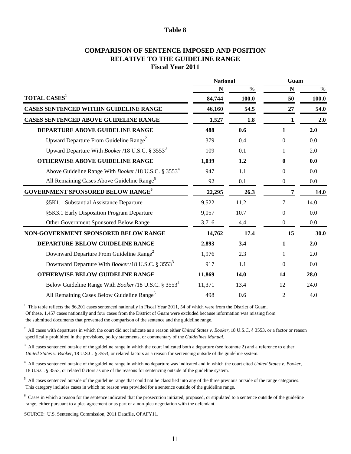#### **Fiscal Year 2011 COMPARISON OF SENTENCE IMPOSED AND POSITION RELATIVE TO THE GUIDELINE RANGE**

|                                                                         | <b>National</b> |               | Guam             |               |  |
|-------------------------------------------------------------------------|-----------------|---------------|------------------|---------------|--|
|                                                                         | N               | $\frac{0}{0}$ | $\mathbf N$      | $\frac{0}{0}$ |  |
| <b>TOTAL CASES</b> <sup>1</sup>                                         | 84,744          | 100.0         | 50               | 100.0         |  |
| <b>CASES SENTENCED WITHIN GUIDELINE RANGE</b>                           | 46,160          | 54.5          | 27               | 54.0          |  |
| <b>CASES SENTENCED ABOVE GUIDELINE RANGE</b>                            | 1,527           | 1.8           | 1                | 2.0           |  |
| DEPARTURE ABOVE GUIDELINE RANGE                                         | 488             | 0.6           | 1                | 2.0           |  |
| Upward Departure From Guideline Range <sup>2</sup>                      | 379             | 0.4           | 0                | 0.0           |  |
| Upward Departure With <i>Booker</i> /18 U.S.C. § 3553 <sup>3</sup>      | 109             | 0.1           | $\mathbf{1}$     | 2.0           |  |
| <b>OTHERWISE ABOVE GUIDELINE RANGE</b>                                  | 1,039           | 1.2           | 0                | 0.0           |  |
| Above Guideline Range With Booker/18 U.S.C. § 3553 <sup>4</sup>         | 947             | 1.1           | 0                | 0.0           |  |
| All Remaining Cases Above Guideline Range <sup>5</sup>                  | 92              | 0.1           | $\boldsymbol{0}$ | 0.0           |  |
| <b>GOVERNMENT SPONSORED BELOW RANGE<sup>6</sup></b>                     | 22,295          | 26.3          | 7                | 14.0          |  |
| §5K1.1 Substantial Assistance Departure                                 | 9,522           | 11.2          | 7                | 14.0          |  |
| §5K3.1 Early Disposition Program Departure                              | 9,057           | 10.7          | $\boldsymbol{0}$ | 0.0           |  |
| Other Government Sponsored Below Range                                  | 3,716           | 4.4           | $\boldsymbol{0}$ | 0.0           |  |
| NON-GOVERNMENT SPONSORED BELOW RANGE                                    | 14,762          | 17.4          | 15               | 30.0          |  |
| DEPARTURE BELOW GUIDELINE RANGE                                         | 2,893           | 3.4           | 1                | 2.0           |  |
| Downward Departure From Guideline Range <sup>2</sup>                    | 1,976           | 2.3           |                  | 2.0           |  |
| Downward Departure With Booker/18 U.S.C. § 35533                        | 917             | 1.1           | $\theta$         | 0.0           |  |
| <b>OTHERWISE BELOW GUIDELINE RANGE</b>                                  | 11,869          | 14.0          | 14               | 28.0          |  |
| Below Guideline Range With <i>Booker</i> /18 U.S.C. § 3553 <sup>4</sup> | 11,371          | 13.4          | 12               | 24.0          |  |
| All Remaining Cases Below Guideline Range <sup>5</sup>                  | 498             | 0.6           | 2                | 4.0           |  |

 $1$  This table reflects the 86,201 cases sentenced nationally in Fiscal Year 2011, 54 of which were from the District of Guam. Of these, 1,457 cases nationally and four cases from the District of Guam were excluded because information was missing from the submitted documents that prevented the comparison of the sentence and the guideline range.

<sup>2</sup> All cases with departures in which the court did not indicate as a reason either *United States v. Booker*, 18 U.S.C. § 3553, or a factor or reason specifically prohibited in the provisions, policy statements, or commentary of the *Guidelines Manual.*

 $3$  All cases sentenced outside of the guideline range in which the court indicated both a departure (see footnote 2) and a reference to either  *United States v. Booker,* 18 U.S.C. § 3553, or related factors as a reason for sentencing outside of the guideline system.

4 All cases sentenced outside of the guideline range in which no departure was indicated and in which the court cited *United States v. Booker,*  18 U.S.C. § 3553, or related factors as one of the reasons for sentencing outside of the guideline system.

 $<sup>5</sup>$  All cases sentenced outside of the guideline range that could not be classified into any of the three previous outside of the range categories.</sup> This category includes cases in which no reason was provided for a sentence outside of the guideline range.

 $6$  Cases in which a reason for the sentence indicated that the prosecution initiated, proposed, or stipulated to a sentence outside of the guideline range, either pursuant to a plea agreement or as part of a non-plea negotiation with the defendant.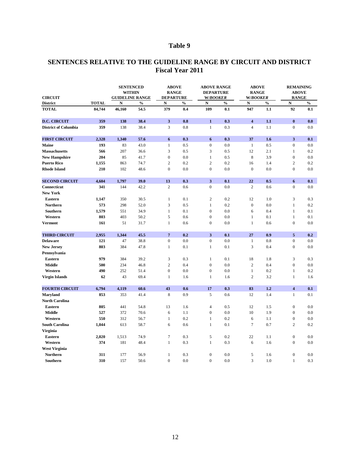| <b>CIRCUIT</b>              |              | <b>SENTENCED</b><br><b>WITHIN</b><br><b>GUIDELINE RANGE</b> |               | <b>ABOVE</b><br><b>RANGE</b><br><b>DEPARTURE</b> |               | <b>ABOVE RANGE</b><br><b>DEPARTURE</b><br><b>W/BOOKER</b> |                | <b>ABOVE</b><br><b>RANGE</b><br><b>W/BOOKER</b> |                | <b>REMAINING</b><br><b>ABOVE</b><br><b>RANGE</b> |               |
|-----------------------------|--------------|-------------------------------------------------------------|---------------|--------------------------------------------------|---------------|-----------------------------------------------------------|----------------|-------------------------------------------------|----------------|--------------------------------------------------|---------------|
| <b>District</b>             | <b>TOTAL</b> | $\mathbf N$                                                 | $\frac{6}{6}$ | $\mathbf N$                                      | $\frac{6}{6}$ | $\mathbf N$                                               | $\frac{6}{10}$ | $\mathbf N$                                     | $\frac{6}{10}$ | ${\bf N}$                                        | $\frac{0}{0}$ |
| <b>TOTAL</b>                | 84,744       | 46,160                                                      | 54.5          | 379                                              | 0.4           | 109                                                       | 0.1            | 947                                             | 1.1            | 92                                               | 0.1           |
| <b>D.C. CIRCUIT</b>         | 359          | 138                                                         | 38.4          | 3 <sup>1</sup>                                   | 0.8           | $\mathbf{1}$                                              | 0.3            | $\overline{\mathbf{4}}$                         | 1.1            | $\mathbf{0}$                                     | 0.0           |
| <b>District of Columbia</b> | 359          | 138                                                         | 38.4          | 3                                                | 0.8           | $\mathbf{1}$                                              | 0.3            | $\overline{4}$                                  | 1.1            | $\overline{0}$                                   | 0.0           |
| <b>FIRST CIRCUIT</b>        | 2,328        | 1,340                                                       | 57.6          | 6                                                | 0.3           | 6                                                         | 0.3            | 37                                              | 1.6            | 3 <sup>1</sup>                                   | 0.1           |
| <b>Maine</b>                | 193          | 83                                                          | 43.0          | 1                                                | 0.5           | $\overline{0}$                                            | 0.0            |                                                 | 0.5            | $\overline{0}$                                   | 0.0           |
| <b>Massachusetts</b>        | 566          | 207                                                         | 36.6          | 3                                                | 0.5           | 3                                                         | 0.5            | 12                                              | 2.1            | 1                                                | 0.2           |
| <b>New Hampshire</b>        | 204          | 85                                                          | 41.7          | $\mathbf{0}$                                     | 0.0           |                                                           | 0.5            | 8                                               | 3.9            | $\boldsymbol{0}$                                 | 0.0           |
| <b>Puerto Rico</b>          | 1,155        | 863                                                         | 74.7          | $\overline{2}$                                   | 0.2           | $\overline{2}$                                            | 0.2            | 16                                              | 1.4            | $\overline{2}$                                   | 0.2           |
| <b>Rhode Island</b>         | 210          | 102                                                         | 48.6          | $\overline{0}$                                   | 0.0           | $\overline{0}$                                            | 0.0            | $\overline{0}$                                  | 0.0            | $\overline{0}$                                   | 0.0           |
| <b>SECOND CIRCUIT</b>       | 4,604        | 1,797                                                       | 39.0          | 13                                               | 0.3           | 3 <sup>1</sup>                                            | 0.1            | 22                                              | 0.5            | 6                                                | 0.1           |
| <b>Connecticut</b>          | 341          | 144                                                         | 42.2          | $\overline{2}$                                   | 0.6           | $\overline{0}$                                            | 0.0            | $\overline{2}$                                  | 0.6            | $\boldsymbol{0}$                                 | 0.0           |
| <b>New York</b>             |              |                                                             |               |                                                  |               |                                                           |                |                                                 |                |                                                  |               |
| <b>Eastern</b>              | 1,147        | 350                                                         | 30.5          | 1                                                | 0.1           | $\overline{2}$                                            | 0.2            | 12                                              | 1.0            | 3                                                | 0.3           |
| <b>Northern</b>             | 573          | 298                                                         | 52.0          | 3                                                | 0.5           | $\mathbf{1}$                                              | 0.2            | $\overline{0}$                                  | 0.0            | $\mathbf{1}$                                     | 0.2           |
| Southern                    | 1,579        | 551                                                         | 34.9          |                                                  | 0.1           | $\overline{0}$                                            | 0.0            | 6                                               | 0.4            | 1                                                | 0.1           |
| Western                     | 803          | 403                                                         | 50.2          | 5                                                | 0.6           | $\overline{0}$                                            | 0.0            |                                                 | 0.1            | $\mathbf{1}$                                     | 0.1           |
| <b>Vermont</b>              | 161          | 51                                                          | 31.7          | $\mathbf{1}$                                     | 0.6           | $\overline{0}$                                            | 0.0            |                                                 | 0.6            | $\overline{0}$                                   | 0.0           |
| <b>THIRD CIRCUIT</b>        | 2,955        | 1,344                                                       | 45.5          | $\overline{7}$                                   | 0.2           | 3 <sup>1</sup>                                            | 0.1            | 27                                              | 0.9            | 5 <sup>5</sup>                                   | 0.2           |
| <b>Delaware</b>             | 121          | 47                                                          | 38.8          | $\boldsymbol{0}$                                 | 0.0           | $\overline{0}$                                            | 0.0            | 1                                               | 0.8            | $\overline{0}$                                   | 0.0           |
| <b>New Jersey</b>           | 803          | 384                                                         | 47.8          | $\mathbf{1}$                                     | 0.1           |                                                           | 0.1            | 3                                               | 0.4            | $\boldsymbol{0}$                                 | $0.0\,$       |
| Pennsylvania                |              |                                                             |               |                                                  |               |                                                           |                |                                                 |                |                                                  |               |
| <b>Eastern</b>              | 979          | 384                                                         | 39.2          | $\mathfrak{Z}$                                   | 0.3           | $\mathbf{1}$                                              | 0.1            | 18                                              | 1.8            | 3                                                | 0.3           |
| <b>Middle</b>               | 500          | 234                                                         | 46.8          | $\overline{2}$                                   | 0.4           | $\overline{0}$                                            | 0.0            | $\overline{2}$                                  | 0.4            | $\overline{0}$                                   | 0.0           |
| Western                     | 490          | 252                                                         | 51.4          | $\overline{0}$                                   | 0.0           | $\overline{0}$                                            | 0.0            |                                                 | 0.2            | $\mathbf{1}$                                     | 0.2           |
| <b>Virgin Islands</b>       | 62           | 43                                                          | 69.4          | $\mathbf{1}$                                     | 1.6           | $\mathbf{1}$                                              | 1.6            | $\overline{2}$                                  | 3.2            | $\mathbf{1}$                                     | 1.6           |
| <b>FOURTH CIRCUIT</b>       | 6,794        | 4,119                                                       | 60.6          | 43                                               | 0.6           | 17                                                        | 0.3            | 83                                              | 1.2            | $\overline{\mathbf{4}}$                          | 0.1           |
| <b>Maryland</b>             | 853          | 353                                                         | 41.4          | $8\phantom{1}$                                   | 0.9           | 5                                                         | 0.6            | 12                                              | 1.4            | $\mathbf{1}$                                     | 0.1           |
| <b>North Carolina</b>       |              |                                                             |               |                                                  |               |                                                           |                |                                                 |                |                                                  |               |
| <b>Eastern</b>              | 805          | 441                                                         | 54.8          | 13                                               | 1.6           | $\overline{4}$                                            | 0.5            | 12                                              | 1.5            | $\boldsymbol{0}$                                 | 0.0           |
| <b>Middle</b>               | 527          | 372                                                         | 70.6          | 6                                                | 1.1           | $\mathbf{0}$                                              | 0.0            | 10                                              | 1.9            | $\boldsymbol{0}$                                 | 0.0           |
| Western                     | 550          | 312                                                         | 56.7          | $\mathbf{1}$                                     | 0.2           | $\mathbf{1}$                                              | 0.2            | 6                                               | 1.1            | $\boldsymbol{0}$                                 | 0.0           |
| <b>South Carolina</b>       | 1,044        | 613                                                         | 58.7          | 6                                                | 0.6           |                                                           | 0.1            | $\overline{7}$                                  | 0.7            | $\overline{2}$                                   | $0.2\,$       |
| <b>Virginia</b>             |              |                                                             |               |                                                  |               |                                                           |                |                                                 |                |                                                  |               |
| <b>Eastern</b>              | 2,020        | 1,513                                                       | 74.9          | $\tau$                                           | 0.3           | $5\overline{)}$                                           | 0.2            | 22                                              | 1.1            | $\boldsymbol{0}$                                 | 0.0           |
| Western                     | 374          | 181                                                         | 48.4          | $\mathbf{1}$                                     | 0.3           | $\mathbf{1}$                                              | 0.3            | 6                                               | 1.6            | $\boldsymbol{0}$                                 | 0.0           |
| <b>West Virginia</b>        |              |                                                             |               |                                                  |               |                                                           |                |                                                 |                |                                                  |               |
| <b>Northern</b>             | 311          | 177                                                         | 56.9          | $\mathbf{1}$                                     | 0.3           | $\overline{0}$                                            | 0.0            | 5                                               | 1.6            | $\boldsymbol{0}$                                 | $0.0\,$       |
| <b>Southern</b>             | 310          | 157                                                         | 50.6          | $\boldsymbol{0}$                                 | 0.0           | $\overline{0}$                                            | 0.0            | 3                                               | 1.0            | $\mathbf{1}$                                     | 0.3           |

# **SENTENCES RELATIVE TO THE GUIDELINE RANGE BY CIRCUIT AND DISTRICT Fiscal Year 2011**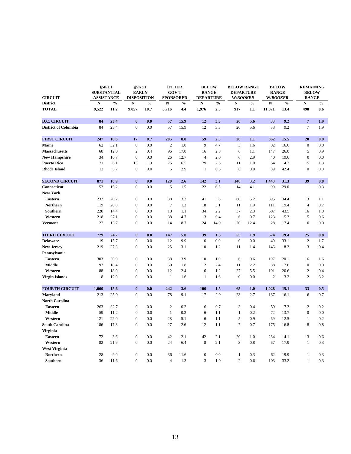| <b>CIRCUIT</b>                    | $§$ 5K1.1<br><b>SUBSTANTIAL</b><br><b>ASSISTANCE</b> |               | §5K3.1<br><b>EARLY</b><br><b>DISPOSITION</b> |               | <b>OTHER</b><br><b>GOV'T</b><br><b>SPONSORED</b> |               | <b>BELOW</b><br><b>RANGE</b><br><b>DEPARTURE</b> |               | <b>BELOW RANGE</b><br><b>DEPARTURE</b><br><b>W/BOOKER</b> |               | <b>BELOW</b><br><b>RANGE</b><br><b>W/BOOKER</b> |               | <b>REMAINING</b><br><b>BELOW</b><br><b>RANGE</b> |               |
|-----------------------------------|------------------------------------------------------|---------------|----------------------------------------------|---------------|--------------------------------------------------|---------------|--------------------------------------------------|---------------|-----------------------------------------------------------|---------------|-------------------------------------------------|---------------|--------------------------------------------------|---------------|
| <b>District</b>                   | N                                                    | $\frac{0}{0}$ | $\mathbf N$                                  | $\frac{0}{0}$ | $\mathbf N$                                      | $\frac{0}{0}$ | ${\bf N}$                                        | $\frac{0}{0}$ | ${\bf N}$                                                 | $\frac{0}{0}$ | ${\bf N}$                                       | $\frac{0}{0}$ | N                                                | $\frac{0}{0}$ |
| <b>TOTAL</b>                      | 9,522                                                | 11.2          | 9,057                                        | 10.7          | 3,716                                            | 4.4           | 1,976                                            | 2.3           | 917                                                       | 1.1           | 11,371                                          | 13.4          | 498                                              | 0.6           |
| <b>D.C. CIRCUIT</b>               | 84                                                   | 23.4          | $\mathbf{0}$                                 | 0.0           | 57                                               | 15.9          | 12                                               | 3.3           | 20                                                        | 5.6           | 33                                              | 9.2           | $7\phantom{.0}$                                  | 1.9           |
| <b>District of Columbia</b>       | 84                                                   | 23.4          | $\overline{0}$                               | 0.0           | 57                                               | 15.9          | 12                                               | 3.3           | 20                                                        | 5.6           | 33                                              | 9.2           | $\tau$                                           | 1.9           |
| <b>FIRST CIRCUIT</b>              | 247                                                  | 10.6          | 17                                           | 0.7           | 205                                              | 8.8           | 59                                               | 2.5           | 26                                                        | 1.1           | 362                                             | 15.5          | 20                                               | 0.9           |
| <b>Maine</b>                      | 62                                                   | 32.1          | $\overline{0}$                               | 0.0           | $\overline{2}$                                   | 1.0           | 9                                                | 4.7           | 3                                                         | 1.6           | 32                                              | 16.6          | $\overline{0}$                                   | $0.0\,$       |
| <b>Massachusetts</b>              | 68                                                   | 12.0          | 2                                            | 0.4           | 96                                               | 17.0          | 16                                               | 2.8           | 6                                                         | 1.1           | 147                                             | 26.0          | 5                                                | 0.9           |
| <b>New Hampshire</b>              | 34                                                   | 16.7          | $\overline{0}$                               | 0.0           | 26                                               | 12.7          | 4                                                | 2.0           | 6                                                         | 2.9           | 40                                              | 19.6          | $\overline{0}$                                   | 0.0           |
| <b>Puerto Rico</b>                | 71                                                   | 6.1           | 15                                           | 1.3           | 75                                               | 6.5           | 29                                               | 2.5           | 11                                                        | 1.0           | 54                                              | 4.7           | 15                                               | 1.3           |
| <b>Rhode Island</b>               | 12                                                   | 5.7           | $\boldsymbol{0}$                             | 0.0           | 6                                                | 2.9           |                                                  | 0.5           | $\mathbf{0}$                                              | 0.0           | 89                                              | 42.4          | $\mathbf{0}$                                     | $0.0\,$       |
| <b>SECOND CIRCUIT</b>             | 871                                                  | 18.9          | $\mathbf{0}$                                 | 0.0           | 120                                              | 2.6           | 142                                              | 3.1           | 148                                                       | 3.2           | 1,443                                           | 31.3          | 39                                               | 0.8           |
| Connecticut                       | 52                                                   | 15.2          | $\overline{0}$                               | 0.0           | 5                                                | 1.5           | 22                                               | 6.5           | 14                                                        | 4.1           | 99                                              | 29.0          | $\mathbf{1}$                                     | 0.3           |
| <b>New York</b>                   |                                                      |               |                                              |               |                                                  |               |                                                  |               |                                                           |               |                                                 |               |                                                  |               |
| <b>Eastern</b>                    | 232                                                  | 20.2          | $\overline{0}$                               | 0.0           | 38                                               | 3.3           | 41                                               | 3.6           | 60                                                        | 5.2           | 395                                             | 34.4          | 13                                               | 1.1           |
| <b>Northern</b>                   | 119                                                  | 20.8          | $\overline{0}$                               | 0.0           | $\overline{7}$                                   | 1.2           | 18                                               | 3.1           | 11                                                        | 1.9           | 111                                             | 19.4          | $\overline{4}$                                   | 0.7           |
| Southern                          | 228                                                  | 14.4          | $\overline{0}$                               | 0.0           | 18                                               | 1.1           | 34                                               | 2.2           | 37                                                        | 2.3           | 687                                             | 43.5          | 16                                               | 1.0           |
| Western                           | 218                                                  | 27.1          | $\overline{0}$                               | 0.0           | 38                                               | 4.7           | 3                                                | 0.4           | 6                                                         | 0.7           | 123                                             | 15.3          | $\mathfrak{S}$                                   | 0.6           |
| <b>Vermont</b>                    | 22                                                   | 13.7          | $\overline{0}$                               | 0.0           | 14                                               | 8.7           | 24                                               | 14.9          | 20                                                        | 12.4          | 28                                              | 17.4          | $\overline{0}$                                   | 0.0           |
| <b>THIRD CIRCUIT</b>              | 729                                                  | 24.7          | $\bf{0}$                                     | 0.0           | 147                                              | 5.0           | 39                                               | 1.3           | 55                                                        | 1.9           | 574                                             | 19.4          | 25                                               | 0.8           |
| <b>Delaware</b>                   | 19                                                   | 15.7          | $\overline{0}$                               | 0.0           | 12                                               | 9.9           | $\overline{0}$                                   | 0.0           | $\boldsymbol{0}$                                          | 0.0           | 40                                              | 33.1          | $\overline{2}$                                   | 1.7           |
| <b>New Jersey</b><br>Pennsylvania | 219                                                  | 27.3          | $\boldsymbol{0}$                             | 0.0           | 25                                               | 3.1           | 10                                               | 1.2           | 11                                                        | 1.4           | 146                                             | 18.2          | 3                                                | 0.4           |
| <b>Eastern</b>                    | 303                                                  | 30.9          | $\overline{0}$                               | 0.0           | 38                                               | 3.9           | 10                                               | 1.0           | 6                                                         | 0.6           | 197                                             | 20.1          | 16                                               | 1.6           |
| <b>Middle</b>                     | 92                                                   | 18.4          | $\overline{0}$                               | 0.0           | 59                                               | 11.8          | 12                                               | 2.4           | 11                                                        | 2.2           | 88                                              | 17.6          | $\overline{0}$                                   | $0.0\,$       |
| Western                           | 88                                                   | 18.0          | $\overline{0}$                               | 0.0           | 12                                               | 2.4           | 6                                                | 1.2           | 27                                                        | 5.5           | 101                                             | 20.6          | $\overline{2}$                                   | 0.4           |
| <b>Virgin Islands</b>             | 8                                                    | 12.9          | $\overline{0}$                               | 0.0           | $\mathbf{1}$                                     | 1.6           | $\mathbf{1}$                                     | 1.6           | $\mathbf{0}$                                              | 0.0           | 2                                               | 3.2           | $\overline{2}$                                   | 3.2           |
| <b>FOURTH CIRCUIT</b>             | 1,060                                                | 15.6          | $\boldsymbol{0}$                             | 0.0           | 242                                              | 3.6           | <b>100</b>                                       | 1.5           | 65                                                        | 1.0           | 1,028                                           | 15.1          | 33                                               | 0.5           |
| <b>Maryland</b>                   | 213                                                  | 25.0          | $\overline{0}$                               | 0.0           | 78                                               | 9.1           | 17                                               | 2.0           | 23                                                        | 2.7           | 137                                             | 16.1          | 6                                                | 0.7           |
| <b>North Carolina</b>             |                                                      |               |                                              |               |                                                  |               |                                                  |               |                                                           |               |                                                 |               |                                                  |               |
| <b>Eastern</b>                    | 263                                                  | 32.7          | $\overline{0}$                               | 0.0           | $\overline{2}$                                   | 0.2           | 6                                                | 0.7           | 3                                                         | 0.4           | 59                                              | 7.3           | $\overline{2}$                                   | 0.2           |
| <b>Middle</b>                     | 59                                                   | 11.2          | $\overline{0}$                               | 0.0           | $\mathbf{1}$                                     | 0.2           | 6                                                | 1.1           | $\mathbf{1}$                                              | 0.2           | 72                                              | 13.7          | $\overline{0}$                                   | $0.0\,$       |
| Western                           | 121                                                  | 22.0          | $\overline{0}$                               | 0.0           | 28                                               | 5.1           | 6                                                | 1.1           | $5\overline{)}$                                           | 0.9           | 69                                              | 12.5          | $\mathbf{1}$                                     | 0.2           |
| <b>South Carolina</b>             | 186                                                  | 17.8          | $\overline{0}$                               | 0.0           | 27                                               | 2.6           | 12                                               | 1.1           | $\tau$                                                    | 0.7           | 175                                             | 16.8          | 8                                                | 0.8           |
| <b>Virginia</b>                   |                                                      |               |                                              |               |                                                  |               |                                                  |               |                                                           |               |                                                 |               |                                                  |               |
| <b>Eastern</b>                    | 72                                                   | 3.6           | $\overline{0}$                               | $0.0\,$       | 42                                               | 2.1           | 42                                               | 2.1           | 20                                                        | 1.0           | 284                                             | 14.1          | 13                                               | 0.6           |
| Western                           | 82                                                   | 21.9          | $\overline{0}$                               | 0.0           | 24                                               | 6.4           | 8                                                | 2.1           | $\mathfrak{Z}$                                            | 0.8           | 67                                              | 17.9          | $\mathbf{1}$                                     | 0.3           |
| <b>West Virginia</b>              |                                                      |               |                                              |               |                                                  |               |                                                  |               |                                                           |               |                                                 |               |                                                  |               |
| <b>Northern</b>                   | 28                                                   | 9.0           | $\overline{0}$                               | 0.0           | 36                                               | 11.6          | $\boldsymbol{0}$                                 | 0.0           | $\mathbf{1}$                                              | 0.3           | 62                                              | 19.9          | $\mathbf{1}$                                     | 0.3           |
| <b>Southern</b>                   | 36                                                   | 11.6          | $\overline{0}$                               | 0.0           | $\overline{4}$                                   | 1.3           | 3                                                | 1.0           | $\overline{2}$                                            | 0.6           | 103                                             | 33.2          |                                                  | 0.3           |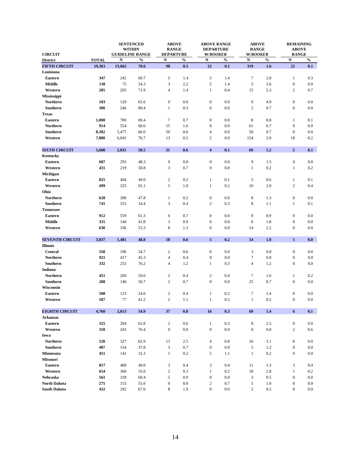| <b>CIRCUIT</b>         |              | <b>SENTENCED</b><br><b>WITHIN</b><br><b>GUIDELINE RANGE</b> |               | <b>ABOVE</b><br><b>RANGE</b><br><b>DEPARTURE</b> |               | <b>ABOVE RANGE</b><br><b>DEPARTURE</b><br><b>W/BOOKER</b> |               | <b>ABOVE</b><br><b>RANGE</b><br><b>W/BOOKER</b> |               | <b>REMAINING</b><br><b>ABOVE</b><br><b>RANGE</b> |               |
|------------------------|--------------|-------------------------------------------------------------|---------------|--------------------------------------------------|---------------|-----------------------------------------------------------|---------------|-------------------------------------------------|---------------|--------------------------------------------------|---------------|
| <b>District</b>        | <b>TOTAL</b> | ${\bf N}$                                                   | $\frac{0}{0}$ | ${\bf N}$                                        | $\frac{0}{0}$ | ${\bf N}$                                                 | $\frac{0}{0}$ | ${\bf N}$                                       | $\frac{0}{0}$ | ${\bf N}$                                        | $\frac{0}{0}$ |
| <b>FIFTH CIRCUIT</b>   | 19,363       | 13,662                                                      | 70.6          | 98                                               | 0.5           | 22                                                        | 0.1           | 319                                             | 1.6           | 22                                               | 0.1           |
| Louisiana              |              |                                                             |               |                                                  |               |                                                           |               |                                                 |               |                                                  |               |
| <b>Eastern</b>         | 347          | 242                                                         | 69.7          | $5\overline{)}$                                  | 1.4           | $5\overline{)}$                                           | 1.4           | $\tau$                                          | 2.0           | $\mathbf{1}$                                     | 0.3           |
| <b>Middle</b>          | 138          | 75                                                          | 54.3          | 3                                                | 2.2           | $\overline{2}$                                            | 1.4           | 5                                               | 3.6           | $\boldsymbol{0}$                                 | 0.0           |
| Western                | 285          | 205                                                         | 71.9          | $\overline{4}$                                   | 1.4           | $\mathbf{1}$                                              | 0.4           | 15                                              | 5.3           | $\overline{2}$                                   | 0.7           |
| <b>Mississippi</b>     |              |                                                             |               |                                                  |               |                                                           |               |                                                 |               |                                                  |               |
| <b>Northern</b>        | 183          | 120                                                         | 65.6          | $\overline{0}$                                   | $0.0\,$       | $\overline{0}$                                            | 0.0           | 9                                               | 4.9           | $\boldsymbol{0}$                                 | 0.0           |
| <b>Southern</b>        | 306          | 246                                                         | 80.4          | $\mathbf{1}$                                     | 0.3           | $\mathbf{0}$                                              | 0.0           | $\overline{2}$                                  | 0.7           | $\boldsymbol{0}$                                 | $0.0\,$       |
| <b>Texas</b>           |              |                                                             |               |                                                  |               |                                                           |               |                                                 |               |                                                  |               |
| <b>Eastern</b>         | 1,008        | 700                                                         | 69.4          | $\tau$                                           | 0.7           | $\boldsymbol{0}$                                          | 0.0           | 8                                               | $0.8\,$       | $\mathbf{1}$                                     | 0.1           |
| <b>Northern</b>        | 914          | 554                                                         | 60.6          | 15                                               | 1.6           | 8                                                         | 0.9           | 61                                              | 6.7           | $\boldsymbol{0}$                                 | 0.0           |
| Southern               | 8,302        | 5,477                                                       | 66.0          | 50                                               | 0.6           | $\overline{4}$                                            | 0.0           | 58                                              | $0.7\,$       | $\boldsymbol{0}$                                 | 0.0           |
| Western                | 7,880        | 6,043                                                       | 76.7          | 13                                               | 0.2           | $\overline{2}$                                            | 0.0           | 154                                             | 2.0           | 18                                               | 0.2           |
|                        |              |                                                             |               |                                                  |               |                                                           |               |                                                 |               |                                                  |               |
| <b>SIXTH CIRCUIT</b>   | 5,608        | 2,831                                                       | 50.5          | 31                                               | 0.6           | $\overline{\mathbf{4}}$                                   | 0.1           | 69                                              | 1.2           | 5 <sup>5</sup>                                   | 0.1           |
| Kentucky               |              |                                                             |               |                                                  |               |                                                           |               |                                                 |               |                                                  |               |
| <b>Eastern</b>         | 607          | 293                                                         | 48.3          | $\overline{0}$                                   | $0.0\,$       | $\overline{0}$                                            | 0.0           | 9                                               | 1.5           | $\boldsymbol{0}$                                 | 0.0           |
| Western                | 431          | 219                                                         | 50.8          | 3                                                | 0.7           | $\mathbf{0}$                                              | 0.0           | $\mathbf{1}$                                    | $0.2\,$       | $\mathbf{1}$                                     | 0.2           |
| Michigan               |              |                                                             |               |                                                  |               |                                                           |               |                                                 |               |                                                  |               |
| <b>Eastern</b>         | 825          | 404                                                         | 49.0          | $\overline{2}$                                   | $0.2\,$       | $\mathbf{1}$                                              | 0.1           | 5                                               | 0.6           | $\mathbf{1}$                                     | 0.1           |
| Western                | 499          | 325                                                         | 65.1          | $5\overline{)}$                                  | 1.0           | $\mathbf{1}$                                              | 0.2           | 10                                              | 2.0           | $\overline{2}$                                   | 0.4           |
| Ohio                   |              |                                                             |               |                                                  |               |                                                           |               |                                                 |               |                                                  |               |
| <b>Northern</b>        | 628          | 300                                                         | 47.8          |                                                  | 0.2           | $\overline{0}$                                            | 0.0           | $8\phantom{1}$                                  | 1.3           | $\boldsymbol{0}$                                 | 0.0           |
| <b>Southern</b>        | 741          | 255                                                         | 34.4          | $\mathfrak{Z}$                                   | $0.4\,$       | $\overline{2}$                                            | 0.3           | $8\,$                                           | 1.1           | $\mathbf{1}$                                     | 0.1           |
| <b>Tennessee</b>       |              |                                                             |               |                                                  |               |                                                           |               |                                                 |               |                                                  |               |
| <b>Eastern</b>         | 912          | 559                                                         | 61.3          | 6                                                | 0.7           | $\mathbf{0}$                                              | 0.0           | 8                                               | 0.9           | $\boldsymbol{0}$                                 | 0.0           |
| <b>Middle</b>          | 335          | 140                                                         | 41.8          | $\mathfrak{Z}$                                   | 0.9           | $\overline{0}$                                            | 0.0           | 6                                               | 1.8           | $\boldsymbol{0}$                                 | $0.0\,$       |
| Western                | 630          | 336                                                         | 53.3          | $8\,$                                            | 1.3           | $\mathbf{0}$                                              | 0.0           | 14                                              | $2.2\,$       | $\boldsymbol{0}$                                 | $0.0\,$       |
| <b>SEVENTH CIRCUIT</b> | 3,037        | 1,481                                                       | 48.8          | 18                                               | 0.6           | 5 <sup>1</sup>                                            | 0.2           | 54                                              | 1.8           | $\mathbf{1}$                                     | 0.0           |
| <b>Illinois</b>        |              |                                                             |               |                                                  |               |                                                           |               |                                                 |               |                                                  |               |
| <b>Central</b>         | 358          | 196                                                         | 54.7          | $\overline{2}$                                   | 0.6           | $\mathbf{0}$                                              | $0.0\,$       | 3                                               | $0.8\,$       | $\boldsymbol{0}$                                 | 0.0           |
| <b>Northern</b>        | 921          | 417                                                         | 45.3          | $\overline{4}$                                   | 0.4           | $\overline{0}$                                            | 0.0           | $\tau$                                          | $0.8\,$       | $\boldsymbol{0}$                                 | 0.0           |
| <b>Southern</b>        | 332          | 253                                                         | 76.2          | $\overline{4}$                                   | 1.2           | $\mathbf{1}$                                              | 0.3           | $\overline{4}$                                  | 1.2           | $\boldsymbol{0}$                                 | 0.0           |
| Indiana                |              |                                                             |               |                                                  |               |                                                           |               |                                                 |               |                                                  |               |
| <b>Northern</b>        | 451          | 269                                                         | 59.6          | $\overline{2}$                                   | 0.4           | $\overline{2}$                                            | 0.4           | $\tau$                                          | 1.6           | $\mathbf{1}$                                     | 0.2           |
| <b>Southern</b>        | 288          | 146                                                         | 50.7          | $\overline{2}$                                   | 0.7           | $\boldsymbol{0}$                                          | 0.0           | 25                                              | 8.7           | $\boldsymbol{0}$                                 | 0.0           |
| Wisconsin              |              |                                                             |               |                                                  |               |                                                           |               |                                                 |               |                                                  |               |
| <b>Eastern</b>         | 500          | 123                                                         | 24.6          | $\overline{2}$                                   | 0.4           | $\mathbf{1}$                                              | $0.2\,$       | $\tau$                                          | 1.4           | $\boldsymbol{0}$                                 | $0.0\,$       |
| Western                | 187          | 77                                                          | 41.2          | $\overline{2}$                                   | 1.1           |                                                           | 0.5           |                                                 | $0.5\,$       | $\boldsymbol{0}$                                 | $0.0\,$       |

| <b>EIGHTH CIRCUIT</b> | 4,760 | 2,613 | 54.9 | 37             | 0.8 | 16             | 0.3 | 69             | 1.4 | 6                | 0.1 |
|-----------------------|-------|-------|------|----------------|-----|----------------|-----|----------------|-----|------------------|-----|
| <b>Arkansas</b>       |       |       |      |                |     |                |     |                |     |                  |     |
| <b>Eastern</b>        | 325   | 204   | 62.8 | $\overline{2}$ | 0.6 |                | 0.3 | 8              | 2.5 | $\overline{0}$   | 0.0 |
| Western               | 318   | 243   | 76.4 | $\overline{0}$ | 0.0 | $\overline{0}$ | 0.0 | $\overline{0}$ | 0.0 | $\overline{2}$   | 0.6 |
| Iowa                  |       |       |      |                |     |                |     |                |     |                  |     |
| <b>Northern</b>       | 520   | 327   | 62.9 | 13             | 2.5 | $\overline{4}$ | 0.8 | 16             | 3.1 | $\overline{0}$   | 0.0 |
| Southern              | 407   | 154   | 37.8 | 3              | 0.7 | $\mathbf{0}$   | 0.0 | 5              | 1.2 | $\overline{0}$   | 0.0 |
| <b>Minnesota</b>      | 451   | 141   | 31.3 |                | 0.2 | 5              | 1.1 |                | 0.2 | $\boldsymbol{0}$ | 0.0 |
| <b>Missouri</b>       |       |       |      |                |     |                |     |                |     |                  |     |
| <b>Eastern</b>        | 817   | 400   | 49.0 | 3              | 0.4 | 3              | 0.4 | 11             | 1.3 | 3                | 0.4 |
| Western               | 654   | 360   | 55.0 | $\overline{2}$ | 0.3 |                | 0.2 | 18             | 2.8 |                  | 0.2 |
| <b>Nebraska</b>       | 561   | 339   | 60.4 | 5              | 0.9 | $\overline{0}$ | 0.0 | 3              | 0.5 | $\overline{0}$   | 0.0 |
| <b>North Dakota</b>   | 275   | 153   | 55.6 | $\overline{0}$ | 0.0 | $\overline{2}$ | 0.7 | 5              | 1.8 | $\boldsymbol{0}$ | 0.0 |
| <b>South Dakota</b>   | 432   | 292   | 67.6 | 8              | 1.9 | $\overline{0}$ | 0.0 | $\overline{2}$ | 0.5 | $\overline{0}$   | 0.0 |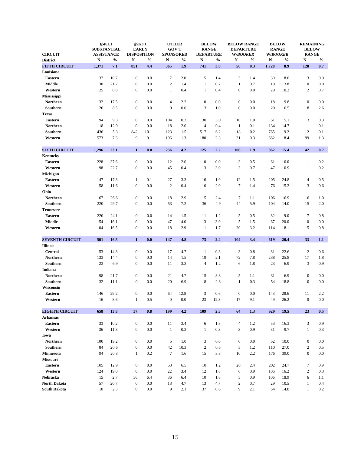| <b>CIRCUIT</b>         | §5K1.1<br><b>SUBSTANTIAL</b><br><b>ASSISTANCE</b> |               | §5K3.1<br><b>EARLY</b><br><b>DISPOSITION</b> |               | <b>OTHER</b><br><b>GOV'T</b><br><b>SPONSORED</b> |               | <b>BELOW</b><br><b>RANGE</b><br><b>DEPARTURE</b> |               | <b>BELOW RANGE</b><br><b>DEPARTURE</b><br><b>W/BOOKER</b> |               | <b>BELOW</b><br><b>RANGE</b><br><b>W/BOOKER</b> |               | <b>REMAINING</b><br><b>BELOW</b><br><b>RANGE</b> |               |
|------------------------|---------------------------------------------------|---------------|----------------------------------------------|---------------|--------------------------------------------------|---------------|--------------------------------------------------|---------------|-----------------------------------------------------------|---------------|-------------------------------------------------|---------------|--------------------------------------------------|---------------|
| <b>District</b>        | ${\bf N}$                                         | $\frac{0}{0}$ | $\mathbf N$                                  | $\frac{0}{0}$ | $\mathbf N$                                      | $\frac{0}{0}$ | $\mathbf N$                                      | $\frac{0}{0}$ | $\mathbf N$                                               | $\frac{0}{0}$ | ${\bf N}$                                       | $\frac{0}{0}$ | $\mathbf N$                                      | $\frac{0}{0}$ |
| <b>FIFTH CIRCUIT</b>   | 1,371                                             | 7.1           | 851                                          | 4.4           | 365                                              | 1.9           | 741                                              | 3.8           | 56                                                        | 0.3           | 1,728                                           | 8.9           | 128                                              | 0.7           |
| Louisiana              |                                                   |               |                                              |               |                                                  |               |                                                  |               |                                                           |               |                                                 |               |                                                  |               |
| <b>Eastern</b>         | 37                                                | 10.7          | $\overline{0}$                               | 0.0           | $\tau$                                           | 2.0           | $5\overline{)}$                                  | 1.4           | $5\overline{)}$                                           | 1.4           | 30                                              | 8.6           | $\mathfrak{Z}$                                   | 0.9           |
| <b>Middle</b>          | 30                                                | 21.7          | $\overline{0}$                               | 0.0           | $\overline{2}$                                   | 1.4           | $\mathbf{1}$                                     | 0.7           | $\mathbf{1}$                                              | 0.7           | 19                                              | 13.8          | $\overline{0}$                                   | $0.0\,$       |
| Western                | 25                                                | 8.8           | $\overline{0}$                               | 0.0           | $\mathbf{1}$                                     | 0.4           |                                                  | 0.4           | $\overline{0}$                                            | 0.0           | 29                                              | 10.2          | $\overline{2}$                                   | 0.7           |
| <b>Mississippi</b>     |                                                   |               |                                              |               |                                                  |               |                                                  |               |                                                           |               |                                                 |               |                                                  |               |
| <b>Northern</b>        | 32                                                | 17.5          | $\overline{0}$                               | 0.0           | $\overline{4}$                                   | 2.2           | $\overline{0}$                                   | 0.0           | $\overline{0}$                                            | 0.0           | 18                                              | 9.8           | $\overline{0}$                                   | $0.0\,$       |
| Southern               | 26                                                | 8.5           | $\mathbf{0}$                                 | 0.0           | $\overline{0}$                                   | 0.0           | 3                                                | 1.0           | $\overline{0}$                                            | 0.0           | 20                                              | 6.5           | 8                                                | 2.6           |
| <b>Texas</b>           |                                                   |               |                                              |               |                                                  |               |                                                  |               |                                                           |               |                                                 |               |                                                  |               |
| <b>Eastern</b>         | 94                                                | 9.3           | $\overline{0}$                               | 0.0           | 104                                              | 10.3          | 30                                               | 3.0           | 10                                                        | 1.0           | 51                                              | 5.1           | $\overline{3}$                                   | 0.3           |
| <b>Northern</b>        | 118                                               | 12.9          | $\mathbf{0}$                                 | 0.0           | 18                                               | 2.0           | $\overline{4}$                                   | 0.4           | $\mathbf{1}$                                              | 0.1           | 134                                             | 14.7          | $\mathbf{1}$                                     | 0.1           |
| <b>Southern</b>        | 436                                               | 5.3           | 842                                          | 10.1          | 123                                              | 1.5           | 517                                              | 6.2           | 18                                                        | 0.2           | 765                                             | 9.2           | 12                                               | 0.1           |
| Western                | 573                                               | 7.3           | 9                                            | 0.1           | 106                                              | 1.3           | 180                                              | 2.3           | 21                                                        | 0.3           | 662                                             | 8.4           | 99                                               | 1.3           |
| <b>SIXTH CIRCUIT</b>   | 1,296                                             | 23.1          | $\mathbf{1}$                                 | 0.0           | 236                                              | 4.2           | 125                                              | 2.2           | 106                                                       | 1.9           | 862                                             | 15.4          | 42                                               | 0.7           |
| <b>Kentucky</b>        |                                                   |               |                                              |               |                                                  |               |                                                  |               |                                                           |               |                                                 |               |                                                  |               |
| <b>Eastern</b>         | 228                                               | 37.6          | $\overline{0}$                               | 0.0           | 12                                               | 2.0           | $\overline{0}$                                   | 0.0           | 3                                                         | 0.5           | 61                                              | 10.0          | $\mathbf{1}$                                     | 0.2           |
| Western                | 98                                                | 22.7          | $\overline{0}$                               | 0.0           | 45                                               | 10.4          | 13                                               | 3.0           | 3                                                         | 0.7           | 47                                              | 10.9          | $\mathbf{1}$                                     | 0.2           |
| Michigan               |                                                   |               |                                              |               |                                                  |               |                                                  |               |                                                           |               |                                                 |               |                                                  |               |
| <b>Eastern</b>         | 147                                               | 17.8          |                                              | 0.1           | 27                                               | 3.3           | 16                                               | 1.9           | 12                                                        | 1.5           | 205                                             | 24.8          | $\overline{4}$                                   | 0.5           |
| Western                | 58                                                | 11.6          | $\overline{0}$                               | 0.0           | $\overline{2}$                                   | 0.4           | 10                                               | 2.0           | $\tau$                                                    | 1.4           | 76                                              | 15.2          | $\mathfrak{Z}$                                   | 0.6           |
| Ohio                   |                                                   |               |                                              |               |                                                  |               |                                                  |               |                                                           |               |                                                 |               |                                                  |               |
| <b>Northern</b>        | 167                                               | 26.6          | $\boldsymbol{0}$                             | 0.0           | 18                                               | 2.9           | 15                                               | 2.4           |                                                           | 1.1           | 106                                             | 16.9          | 6                                                | 1.0           |
| Southern               | 220                                               | 29.7          | $\overline{0}$                               | 0.0           | 53                                               | 7.2           | 36                                               | 4.9           | 44                                                        | 5.9           | 104                                             | 14.0          | 15                                               | 2.0           |
| <b>Tennessee</b>       |                                                   |               |                                              |               |                                                  |               |                                                  |               |                                                           |               |                                                 |               |                                                  |               |
| <b>Eastern</b>         | 220                                               | 24.1          | $\overline{0}$                               | 0.0           | 14                                               | 1.5           | 11                                               | 1.2           | 5                                                         | 0.5           | 82                                              | 9.0           | $\tau$                                           | 0.8           |
| <b>Middle</b>          | 54                                                | 16.1          | $\overline{0}$                               | 0.0           | 47                                               | 14.0          | 13                                               | 3.9           | 5                                                         | 1.5           | 67                                              | 20.0          | $\overline{0}$                                   | $0.0\,$       |
| Western                | 104                                               | 16.5          | $\overline{0}$                               | 0.0           | 18                                               | 2.9           | 11                                               | 1.7           | 20                                                        | 3.2           | 114                                             | 18.1          | 5 <sup>5</sup>                                   | 0.8           |
| <b>SEVENTH CIRCUIT</b> | 501                                               | 16.5          | $\mathbf{1}$                                 | 0.0           | 147                                              | 4.8           | 73                                               | 2.4           | 104                                                       | 3.4           | 619                                             | 20.4          | 33                                               | 1.1           |
| <b>Illinois</b>        |                                                   |               |                                              |               |                                                  |               |                                                  |               |                                                           |               |                                                 |               |                                                  |               |
| <b>Central</b>         | 53                                                | 14.8          | $\overline{0}$                               | 0.0           | 17                                               | 4.7           | $\mathbf{1}$                                     | 0.3           | 3                                                         | 0.8           | 81                                              | 22.6          | 2                                                | 0.6           |
| <b>Northern</b>        | 133                                               | 14.4          | $\overline{0}$                               | 0.0           | 14                                               | 1.5           | 19                                               | 2.1           | 72                                                        | 7.8           | 238                                             | 25.8          | 17                                               | 1.8           |
| Southern               | 23                                                | 6.9           | $\overline{0}$                               | 0.0           | 11                                               | 3.3           | $\overline{4}$                                   | 1.2           | 6                                                         | 1.8           | 23                                              | 6.9           | $\mathfrak{Z}$                                   | 0.9           |
| Indiana                |                                                   |               |                                              |               |                                                  |               |                                                  |               |                                                           |               |                                                 |               |                                                  |               |
| <b>Northern</b>        | 98                                                | 21.7          | $\overline{0}$                               | $0.0\,$       | 21                                               | 4.7           | 15                                               | 3.3           | $5\overline{)}$                                           | 1.1           | 31                                              | 6.9           | $\overline{0}$                                   | $0.0\,$       |
| Southern               | 32                                                | 11.1          | $\overline{0}$                               | 0.0           | 20                                               | 6.9           | 8                                                | 2.8           | $\mathbf{1}$                                              | 0.3           | 54                                              | 18.8          | $\mathbf{0}$                                     | $0.0\,$       |
| Wisconsin              |                                                   |               |                                              |               |                                                  |               |                                                  |               |                                                           |               |                                                 |               |                                                  |               |
| <b>Eastern</b>         | 146                                               | 29.2          | $\overline{0}$                               | 0.0           | 64                                               | 12.8          | 3                                                | 0.6           | $\overline{0}$                                            | 0.0           | 143                                             | 28.6          | 11                                               | 2.2           |
| Western                | 16                                                | 8.6           | $\mathbf{1}$                                 | 0.5           | $\overline{0}$                                   | $0.0\,$       | 23                                               | 12.3          | 17                                                        | 9.1           | 49                                              | 26.2          | $\overline{0}$                                   | $0.0\,$       |

| <b>EIGHTH CIRCUIT</b> | 658 | 13.8 | 37             | 0.8 | 199 | 4.2  | 109 | 2.3 | 64               | 1.3 | 929 | 19.5 | 23               | 0.5 |
|-----------------------|-----|------|----------------|-----|-----|------|-----|-----|------------------|-----|-----|------|------------------|-----|
| <b>Arkansas</b>       |     |      |                |     |     |      |     |     |                  |     |     |      |                  |     |
| <b>Eastern</b>        | 33  | 10.2 | $\mathbf{0}$   | 0.0 | 11  | 3.4  | 6   | 1.8 | 4                | 1.2 | 53  | 16.3 | 3                | 0.9 |
| Western               | 36  | 11.3 | $\mathbf{0}$   | 0.0 |     | 0.3  |     | 0.3 | 3                | 0.9 | 31  | 9.7  |                  | 0.3 |
| Iowa                  |     |      |                |     |     |      |     |     |                  |     |     |      |                  |     |
| <b>Northern</b>       | 100 | 19.2 | $\mathbf{0}$   | 0.0 | 5   | 1.0  | 3   | 0.6 | $\boldsymbol{0}$ | 0.0 | 52  | 10.0 | $\boldsymbol{0}$ | 0.0 |
| Southern              | 84  | 20.6 | $\overline{0}$ | 0.0 | 42  | 10.3 | 2   | 0.5 | 5                | 1.2 | 110 | 27.0 | $\overline{2}$   | 0.5 |
| <b>Minnesota</b>      | 94  | 20.8 |                | 0.2 | 7   | 1.6  | 15  | 3.3 | 10               | 2.2 | 176 | 39.0 | $\overline{0}$   | 0.0 |
| <b>Missouri</b>       |     |      |                |     |     |      |     |     |                  |     |     |      |                  |     |
| <b>Eastern</b>        | 105 | 12.9 | $\mathbf{0}$   | 0.0 | 53  | 6.5  | 10  | 1.2 | 20               | 2.4 | 202 | 24.7 | $\overline{7}$   | 0.9 |
| Western               | 124 | 19.0 | $\overline{0}$ | 0.0 | 22  | 3.4  | 12  | 1.8 | 6                | 0.9 | 106 | 16.2 | $\overline{2}$   | 0.3 |
| <b>Nebraska</b>       | 15  | 2.7  | 36             | 6.4 | 36  | 6.4  | 10  | 1.8 | 5                | 0.9 | 106 | 18.9 | 6                | 1.1 |
| <b>North Dakota</b>   | 57  | 20.7 | $\mathbf{0}$   | 0.0 | 13  | 4.7  | 13  | 4.7 | $\overline{2}$   | 0.7 | 29  | 10.5 |                  | 0.4 |
| <b>South Dakota</b>   | 10  | 2.3  | $\mathbf{0}$   | 0.0 | 9   | 2.1  | 37  | 8.6 | 9                | 2.1 | 64  | 14.8 |                  | 0.2 |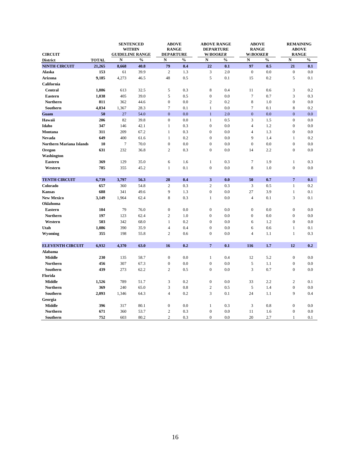| <b>CIRCUIT</b>                  |              | <b>SENTENCED</b><br><b>WITHIN</b><br><b>GUIDELINE RANGE</b> |               | <b>ABOVE</b><br><b>RANGE</b><br><b>DEPARTURE</b> |               | <b>ABOVE RANGE</b><br><b>DEPARTURE</b><br><b>W/BOOKER</b> |               | <b>ABOVE</b><br><b>RANGE</b><br><b>W/BOOKER</b> |               | <b>REMAINING</b><br><b>ABOVE</b><br><b>RANGE</b> |               |
|---------------------------------|--------------|-------------------------------------------------------------|---------------|--------------------------------------------------|---------------|-----------------------------------------------------------|---------------|-------------------------------------------------|---------------|--------------------------------------------------|---------------|
| <b>District</b>                 | <b>TOTAL</b> | ${\bf N}$                                                   | $\frac{0}{0}$ | ${\bf N}$                                        | $\frac{0}{0}$ | ${\bf N}$                                                 | $\frac{0}{0}$ | ${\bf N}$                                       | $\frac{0}{0}$ | ${\bf N}$                                        | $\frac{0}{0}$ |
| <b>NINTH CIRCUIT</b>            | 21,265       | 8,668                                                       | 40.8          | 79                                               | 0.4           | 22                                                        | 0.1           | 97                                              | 0.5           | 21                                               | 0.1           |
| <b>Alaska</b>                   | 153          | 61                                                          | 39.9          | $\overline{2}$                                   | 1.3           | 3                                                         | 2.0           | $\boldsymbol{0}$                                | 0.0           | $\overline{0}$                                   | 0.0           |
| <b>Arizona</b>                  | 9,185        | 4,273                                                       | 46.5          | 48                                               | 0.5           | 5                                                         | 0.1           | 15                                              | $0.2\,$       | 5                                                | 0.1           |
| <b>California</b>               |              |                                                             |               |                                                  |               |                                                           |               |                                                 |               |                                                  |               |
| <b>Central</b>                  | 1,886        | 613                                                         | 32.5          | $\mathfrak{S}$                                   | 0.3           | $8\,$                                                     | 0.4           | 11                                              | 0.6           | 3                                                | 0.2           |
| <b>Eastern</b>                  | 1,038        | 405                                                         | 39.0          | $5\overline{)}$                                  | 0.5           | $\overline{0}$                                            | 0.0           | $\overline{7}$                                  | 0.7           | 3                                                | 0.3           |
| <b>Northern</b>                 | 811          | 362                                                         | 44.6          | $\theta$                                         | 0.0           | $\overline{2}$                                            | 0.2           | 8                                               | 1.0           | $\boldsymbol{0}$                                 | 0.0           |
| Southern                        | 4,834        | 1,367                                                       | 28.3          | $\overline{7}$                                   | 0.1           |                                                           | 0.0           | 7                                               | 0.1           | 8                                                | 0.2           |
| Guam                            | 50           | 27                                                          | 54.0          | $\overline{0}$                                   | 0.0           |                                                           | 2.0           | $\overline{0}$                                  | 0.0           | $\overline{0}$                                   | 0.0           |
| Hawaii                          | 206          | 82                                                          | 39.8          | $\overline{0}$                                   | 0.0           |                                                           | 0.5           | 3                                               | 1.5           | $\boldsymbol{0}$                                 | 0.0           |
| Idaho                           | 347          | 146                                                         | 42.1          |                                                  | 0.3           | $\overline{0}$                                            | 0.0           | $\overline{4}$                                  | 1.2           | $\overline{0}$                                   | 0.0           |
| <b>Montana</b>                  | 311          | 209                                                         | 67.2          |                                                  | 0.3           | $\boldsymbol{0}$                                          | 0.0           | $\overline{4}$                                  | 1.3           | $\boldsymbol{0}$                                 | 0.0           |
| <b>Nevada</b>                   | 649          | 400                                                         | 61.6          |                                                  | 0.2           | $\mathbf{0}$                                              | 0.0           | 9                                               | 1.4           |                                                  | 0.2           |
| <b>Northern Mariana Islands</b> | <b>10</b>    | 7                                                           | 70.0          | $\mathbf{0}$                                     | $0.0\,$       | $\overline{0}$                                            | 0.0           | $\overline{0}$                                  | 0.0           | $\mathbf{0}$                                     | 0.0           |
| Oregon                          | 631          | 232                                                         | 36.8          | $\overline{2}$                                   | 0.3           | $\boldsymbol{0}$                                          | 0.0           | 14                                              | $2.2\,$       | $\mathbf{0}$                                     | 0.0           |
| Washington                      |              |                                                             |               |                                                  |               |                                                           |               |                                                 |               |                                                  |               |
| <b>Eastern</b>                  | 369          | 129                                                         | 35.0          | 6                                                | 1.6           | $\mathbf{1}$                                              | 0.3           | $\tau$                                          | 1.9           | $\mathbf{1}$                                     | 0.3           |
| Western                         | 785          | 355                                                         | 45.2          | $\mathbf{1}$                                     | 0.1           | $\boldsymbol{0}$                                          | 0.0           | 8                                               | 1.0           | $\overline{0}$                                   | 0.0           |
|                                 |              |                                                             |               |                                                  |               |                                                           |               |                                                 |               |                                                  |               |
| <b>TENTH CIRCUIT</b>            | 6,739        | 3,797                                                       | 56.3          | 28                                               | 0.4           | 3 <sup>1</sup>                                            | 0.0           | 50                                              | 0.7           | $\overline{7}$                                   | 0.1           |
| Colorado                        | 657          | 360                                                         | 54.8          | $\mathbf{2}$                                     | 0.3           | $\overline{2}$                                            | 0.3           | $\overline{3}$                                  | 0.5           | $\mathbf{1}$                                     | $0.2\,$       |
| <b>Kansas</b>                   | 688          | 341                                                         | 49.6          | 9                                                | 1.3           | $\overline{0}$                                            | 0.0           | 27                                              | 3.9           | $\mathbf{1}$                                     | 0.1           |
| <b>New Mexico</b>               | 3,149        | 1,964                                                       | 62.4          | $\,8\,$                                          | 0.3           |                                                           | $0.0\,$       | $\overline{4}$                                  | 0.1           | 3                                                | 0.1           |
| <b>Oklahoma</b>                 |              |                                                             |               |                                                  |               |                                                           |               |                                                 |               |                                                  |               |
| <b>Eastern</b>                  | 104          | 79                                                          | 76.0          | $\overline{0}$                                   | $0.0\,$       | $\boldsymbol{0}$                                          | 0.0           | $\overline{0}$                                  | 0.0           | $\boldsymbol{0}$                                 | 0.0           |
| <b>Northern</b>                 | 197          | 123                                                         | 62.4          | $\overline{2}$                                   | 1.0           | $\overline{0}$                                            | $0.0\,$       | $\boldsymbol{0}$                                | 0.0           | $\overline{0}$                                   | 0.0           |
| Western                         | 503          | 342                                                         | 68.0          | $\mathbf{1}$                                     | 0.2           | $\boldsymbol{0}$                                          | 0.0           | 6                                               | 1.2           | $\mathbf{0}$                                     | 0.0           |
| Utah                            | 1,086        | 390                                                         | 35.9          | $\overline{4}$                                   | 0.4           | $\boldsymbol{0}$                                          | 0.0           | 6                                               | 0.6           | $\mathbf{1}$                                     | 0.1           |
| <b>Wyoming</b>                  | 355          | 198                                                         | 55.8          | $\overline{2}$                                   | 0.6           | $\boldsymbol{0}$                                          | 0.0           | $\overline{4}$                                  | 1.1           | $\mathbf{1}$                                     | 0.3           |
|                                 |              |                                                             |               |                                                  |               |                                                           |               |                                                 |               |                                                  |               |
| <b>ELEVENTH CIRCUIT</b>         | 6,932        | 4,370                                                       | 63.0          | 16                                               | 0.2           | 7 <sup>7</sup>                                            | 0.1           | 116                                             | 1.7           | 12                                               | 0.2           |
| <b>Alabama</b>                  |              |                                                             |               |                                                  |               |                                                           |               |                                                 |               |                                                  |               |
| <b>Middle</b>                   | 230          | 135                                                         | 58.7          | $\overline{0}$                                   | $0.0\,$       | $\mathbf{1}$                                              | 0.4           | 12                                              | 5.2           | $\boldsymbol{0}$                                 | 0.0           |
| <b>Northern</b>                 | 456          | 307                                                         | 67.3          | $\boldsymbol{0}$                                 | $0.0\,$       | $\boldsymbol{0}$                                          | 0.0           | 5                                               | 1.1           | $\overline{0}$                                   | 0.0           |
| Southern                        | 439          | 273                                                         | 62.2          | $\overline{2}$                                   | $0.5\,$       | $\boldsymbol{0}$                                          | $0.0\,$       | 3                                               | 0.7           | $\boldsymbol{0}$                                 | $0.0\,$       |
| Florida                         |              |                                                             |               |                                                  |               |                                                           |               |                                                 |               |                                                  |               |
| <b>Middle</b>                   | 1,526        | 789                                                         | 51.7          | 3                                                | 0.2           | $\boldsymbol{0}$                                          | 0.0           | 33                                              | 2.2           | $\overline{2}$                                   | 0.1           |
| <b>Northern</b>                 | 369          | 240                                                         | 65.0          | $\mathfrak{Z}$                                   | 0.8           | $\overline{2}$                                            | 0.5           | $5\overline{)}$                                 | 1.4           | $\boldsymbol{0}$                                 | 0.0           |
| Southern                        | 2,093        | 1,346                                                       | 64.3          | $\overline{4}$                                   | $0.2\,$       | $\mathfrak{Z}$                                            | 0.1           | 24                                              | 1.1           | 9                                                | 0.4           |
| Georgia                         |              |                                                             |               |                                                  |               |                                                           |               |                                                 |               |                                                  |               |
| <b>Middle</b>                   | 396          | 317                                                         | 80.1          | $\overline{0}$                                   | $0.0\,$       |                                                           | 0.3           | 3                                               | $0.8\,$       | $\boldsymbol{0}$                                 | $0.0\,$       |

| $\mathbf{v}$<br>Northern | $\mathbf{U}$ | $\sim$<br>36C | ---<br>ັ້                | . . | ◡.                 | v.v |          | 1.U | v.v |
|--------------------------|--------------|---------------|--------------------------|-----|--------------------|-----|----------|-----|-----|
| . .<br>Southern          | 750<br>' J≐  | $\sim$<br>00z | $\Omega$<br>$\delta U.2$ |     | $\mathsf{v} \cdot$ | v.t | ⌒⌒<br>∠∪ | ,.  | 。.  |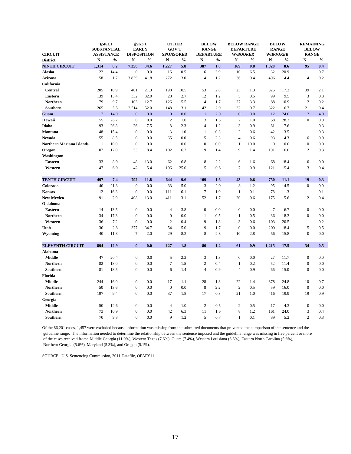| <b>CIRCUIT</b>                  | §5K1.1<br><b>SUBSTANTIAL</b><br><b>ASSISTANCE</b> |               | <b>EARLY</b><br><b>DISPOSITION</b> | §5K3.1        | <b>OTHER</b><br><b>GOV'T</b><br><b>SPONSORED</b> |               | <b>BELOW</b><br><b>RANGE</b><br><b>DEPARTURE</b> |               | <b>BELOW RANGE</b><br><b>DEPARTURE</b><br><b>W/BOOKER</b> |               | <b>BELOW</b><br><b>RANGE</b><br><b>W/BOOKER</b> |               | <b>REMAINING</b><br><b>BELOW</b><br><b>RANGE</b> |               |
|---------------------------------|---------------------------------------------------|---------------|------------------------------------|---------------|--------------------------------------------------|---------------|--------------------------------------------------|---------------|-----------------------------------------------------------|---------------|-------------------------------------------------|---------------|--------------------------------------------------|---------------|
| <b>District</b>                 | $\mathbf N$                                       | $\frac{0}{0}$ | ${\bf N}$                          | $\frac{0}{0}$ | $\mathbf N$                                      | $\frac{0}{0}$ | ${\bf N}$                                        | $\frac{0}{0}$ | ${\bf N}$                                                 | $\frac{0}{0}$ | $\mathbf N$                                     | $\frac{0}{0}$ | $\mathbf N$                                      | $\frac{0}{0}$ |
| <b>NINTH CIRCUIT</b>            | 1,314                                             | 6.2           | 7,358                              | 34.6          | 1,227                                            | 5.8           | 387                                              | 1.8           | 169                                                       | 0.8           | 1,828                                           | 8.6           | 95                                               | 0.4           |
| <b>Alaska</b>                   | 22                                                | 14.4          | $\boldsymbol{0}$                   | 0.0           | 16                                               | 10.5          | 6                                                | 3.9           | 10                                                        | 6.5           | 32                                              | 20.9          | $\mathbf{1}$                                     | 0.7           |
| <b>Arizona</b>                  | 158                                               | 1.7           | 3,839                              | 41.8          | 272                                              | 3.0           | 114                                              | 1.2           | 36                                                        | 0.4           | 406                                             | 4.4           | 14                                               | 0.2           |
| California                      |                                                   |               |                                    |               |                                                  |               |                                                  |               |                                                           |               |                                                 |               |                                                  |               |
| <b>Central</b>                  | 205                                               | 10.9          | 401                                | 21.3          | 198                                              | 10.5          | 53                                               | 2.8           | 25                                                        | 1.3           | 325                                             | 17.2          | 39                                               | 2.1           |
| <b>Eastern</b>                  | 139                                               | 13.4          | 332                                | 32.0          | 28                                               | 2.7           | 12                                               | 1.2           | 5                                                         | 0.5           | 99                                              | 9.5           | 3                                                | 0.3           |
| <b>Northern</b>                 | 79                                                | 9.7           | 103                                | 12.7          | 126                                              | 15.5          | 14                                               | 1.7           | 27                                                        | 3.3           | 88                                              | 10.9          | 2                                                | 0.2           |
| <b>Southern</b>                 | 265                                               | 5.5           | 2,514                              | 52.0          | 148                                              | 3.1           | 142                                              | 2.9           | 32                                                        | 0.7           | 322                                             | 6.7           | 21                                               | 0.4           |
| Guam                            | $\overline{7}$                                    | 14.0          | $\overline{0}$                     | 0.0           | $\overline{0}$                                   | 0.0           |                                                  | 2.0           | $\mathbf{0}$                                              | 0.0           | 12                                              | 24.0          | $\overline{2}$                                   | 4.0           |
| Hawaii                          | 55                                                | 26.7          | $\overline{0}$                     | 0.0           | $\overline{2}$                                   | 1.0           | $\overline{3}$                                   | 1.5           | $\overline{2}$                                            | 1.0           | 58                                              | 28.2          | $\overline{0}$                                   | 0.0           |
| Idaho                           | 93                                                | 26.8          | 26                                 | 7.5           | 8                                                | 2.3           | $\overline{4}$                                   | 1.2           | 3                                                         | 0.9           | 61                                              | 17.6          | $\mathbf{1}$                                     | 0.3           |
| <b>Montana</b>                  | 48                                                | 15.4          | $\boldsymbol{0}$                   | 0.0           | 3                                                | 1.0           |                                                  | 0.3           | $\overline{2}$                                            | 0.6           | 42                                              | 13.5          | $\mathbf{1}$                                     | 0.3           |
| <b>Nevada</b>                   | 55                                                | 8.5           | $\overline{0}$                     | 0.0           | 65                                               | 10.0          | 15                                               | 2.3           | 4                                                         | 0.6           | 93                                              | 14.3          | 6                                                | 0.9           |
| <b>Northern Mariana Islands</b> | 1                                                 | 10.0          | $\boldsymbol{0}$                   | 0.0           | -1                                               | 10.0          | $\overline{0}$                                   | 0.0           |                                                           | 10.0          | $\overline{0}$                                  | 0.0           | $\overline{0}$                                   | $0.0\,$       |
| Oregon                          | 107                                               | 17.0          | 53                                 | 8.4           | 102                                              | 16.2          | 9                                                | 1.4           | 9                                                         | 1.4           | 101                                             | 16.0          | 2                                                | 0.3           |
| <b>Washington</b>               |                                                   |               |                                    |               |                                                  |               |                                                  |               |                                                           |               |                                                 |               |                                                  |               |
| <b>Eastern</b>                  | 33                                                | 8.9           | 48                                 | 13.0          | 62                                               | 16.8          | 8                                                | 2.2           | 6                                                         | 1.6           | 68                                              | 18.4          | $\overline{0}$                                   | $0.0\,$       |
| Western                         | 47                                                | 6.0           | 42                                 | 5.4           | 196                                              | 25.0          | 5                                                | 0.6           | $\overline{7}$                                            | 0.9           | 121                                             | 15.4          | $\overline{3}$                                   | 0.4           |
|                                 |                                                   |               |                                    |               |                                                  |               |                                                  |               |                                                           |               |                                                 |               |                                                  |               |
| <b>TENTH CIRCUIT</b>            | 497                                               | 7.4           | 792                                | 11.8          | 644                                              | 9.6           | 109                                              | 1.6           | 43                                                        | 0.6           | 750                                             | 11.1          | 19                                               | 0.3           |
| Colorado                        | 140                                               | 21.3          | $\overline{0}$                     | 0.0           | 33                                               | 5.0           | 13                                               | 2.0           | 8                                                         | 1.2           | 95                                              | 14.5          | $\overline{0}$                                   | 0.0           |
| <b>Kansas</b>                   | 112                                               | 16.3          | $\overline{0}$                     | 0.0           | 111                                              | 16.1          | 7                                                | 1.0           |                                                           | 0.1           | 78                                              | 11.3          | 1                                                | 0.1           |
| <b>New Mexico</b>               | 91                                                | 2.9           | 408                                | 13.0          | 411                                              | 13.1          | 52                                               | 1.7           | 20                                                        | 0.6           | 175                                             | 5.6           | 12                                               | $0.4\,$       |
| <b>Oklahoma</b>                 |                                                   |               |                                    |               |                                                  |               |                                                  |               |                                                           |               |                                                 |               |                                                  |               |
| <b>Eastern</b>                  | 14                                                | 13.5          | $\overline{0}$                     | 0.0           | 4                                                | 3.8           | $\overline{0}$                                   | 0.0           | $\mathbf{0}$                                              | 0.0           | $\overline{7}$                                  | 6.7           | $\overline{0}$                                   | $0.0\,$       |
| <b>Northern</b>                 | 34                                                | 17.3          | $\overline{0}$                     | 0.0           | $\overline{0}$                                   | 0.0           | $\mathbf{1}$                                     | 0.5           |                                                           | 0.5           | 36                                              | 18.3          | $\overline{0}$                                   | $0.0\,$       |
| Western                         | 36                                                | 7.2           | $\boldsymbol{0}$                   | 0.0           | $\overline{2}$                                   | 0.4           | 9                                                | 1.8           | 3                                                         | 0.6           | 103                                             | 20.5          | 1                                                | 0.2           |
| Utah                            | 30                                                | 2.8           | 377                                | 34.7          | 54                                               | 5.0           | 19                                               | 1.7           | $\overline{0}$                                            | 0.0           | 200                                             | 18.4          | 5 <sup>5</sup>                                   | 0.5           |
| <b>Wyoming</b>                  | 40                                                | 11.3          | 7                                  | 2.0           | 29                                               | 8.2           | 8                                                | 2.3           | 10                                                        | 2.8           | 56                                              | 15.8          | $\mathbf{0}$                                     | $0.0\,$       |
| <b>ELEVENTH CIRCUIT</b>         | 894                                               | 12.9          | $\boldsymbol{0}$                   | 0.0           | 127                                              | 1.8           | 80                                               | 1.2           | 61                                                        | 0.9           | 1,215                                           | 17.5          | 34                                               | 0.5           |
| <b>Alabama</b>                  |                                                   |               |                                    |               |                                                  |               |                                                  |               |                                                           |               |                                                 |               |                                                  |               |
| <b>Middle</b>                   | 47                                                | 20.4          | $\overline{0}$                     | 0.0           | 5                                                | 2.2           | 3                                                | 1.3           | $\overline{0}$                                            | 0.0           | 27                                              | 11.7          | $\overline{0}$                                   | $0.0\,$       |
| <b>Northern</b>                 | 82                                                | 18.0          | $\overline{0}$                     | 0.0           | $\overline{7}$                                   | 1.5           | $\overline{2}$                                   | 0.4           | $\mathbf{1}$                                              | 0.2           | 52                                              | 11.4          | $\overline{0}$                                   | $0.0\,$       |
| <b>Southern</b>                 | 81                                                | 18.5          | $\overline{0}$                     | 0.0           | 6                                                | 1.4           | $\overline{4}$                                   | 0.9           | $\overline{4}$                                            | 0.9           | 66                                              | 15.0          | $\overline{0}$                                   | $0.0\,$       |
| Florida                         |                                                   |               |                                    |               |                                                  |               |                                                  |               |                                                           |               |                                                 |               |                                                  |               |
| <b>Middle</b>                   | 244                                               | 16.0          | $\overline{0}$                     | 0.0           | 17                                               | 1.1           | 28                                               | 1.8           | 22                                                        | 1.4           | 378                                             | 24.8          | 10                                               | 0.7           |
| <b>Northern</b>                 | 50                                                | 13.6          | $\overline{0}$                     | 0.0           | $\boldsymbol{0}$                                 | 0.0           | 8                                                | 2.2           | $\overline{2}$                                            | 0.5           | 59                                              | 16.0          | $\overline{0}$                                   | $0.0\,$       |
| <b>Southern</b>                 | 197                                               | 9.4           | $\overline{0}$                     | 0.0           | 37                                               | 1.8           | 17                                               | 0.8           | 21                                                        | 1.0           | 416                                             | 19.9          | 19                                               | 0.9           |
| Georgia                         |                                                   |               |                                    |               |                                                  |               |                                                  |               |                                                           |               |                                                 |               |                                                  |               |
| <b>Middle</b>                   | 50                                                | 12.6          | $\overline{0}$                     | 0.0           | $\overline{4}$                                   | 1.0           | $\overline{2}$                                   | 0.5           | $\overline{2}$                                            | $0.5\,$       | 17                                              | 4.3           | $\overline{0}$                                   | 0.0           |

| $\mathbf{X}$<br>Northern  | $\mathbf{a}$  | 10.9          | 0.0 | 42 | 6.3         | 11 | 1.6 | <sup>8</sup> | 12<br>. | 161 | 24.0                        | 0.4 |
|---------------------------|---------------|---------------|-----|----|-------------|----|-----|--------------|---------|-----|-----------------------------|-----|
| $\sim$ $\sim$<br>Southern | $\neg \wedge$ | $\Omega$<br>. | 0.0 | Q  | $\Box$<br>. |    | 0.7 |              | 0.1     | 39  | $\bm{\cup}$ . $\bm{\angle}$ | 0.3 |

Of the 86,201 cases, 1,457 were excluded because information was missing from the submitted documents that prevented the comparison of the sentence and the guideline range. The information needed to determine the relationship between the sentence imposed and the guideline range was missing in five percent or more of the cases received from: Middle Georgia (11.0%), Western Texas (7.6%), Guam (7.4%), Western Louisiana (6.6%), Eastern North Carolina (5.6%), Northern Georgia (5.6%), Maryland (5.3%), and Oregon (5.1%).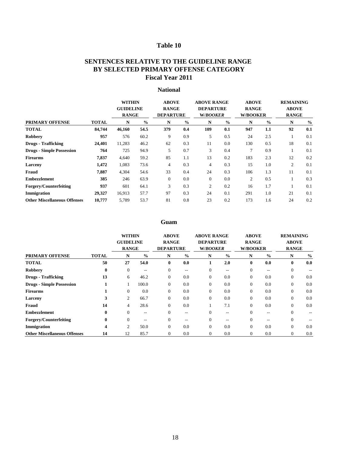|                                     |              | <b>WITHIN</b><br><b>GUIDELINE</b><br><b>RANGE</b> |               | <b>ABOVE</b><br><b>RANGE</b><br><b>DEPARTURE</b> |               | <b>ABOVE RANGE</b><br><b>DEPARTURE</b><br><b>W/BOOKER</b> |               | <b>ABOVE</b><br><b>RANGE</b><br><b>W/BOOKER</b> |               | <b>REMAINING</b><br><b>ABOVE</b><br><b>RANGE</b> |               |
|-------------------------------------|--------------|---------------------------------------------------|---------------|--------------------------------------------------|---------------|-----------------------------------------------------------|---------------|-------------------------------------------------|---------------|--------------------------------------------------|---------------|
| <b>PRIMARY OFFENSE</b>              | <b>TOTAL</b> | N                                                 | $\frac{0}{0}$ | N                                                | $\frac{6}{6}$ | N                                                         | $\frac{0}{0}$ | N                                               | $\frac{0}{0}$ | $\mathbf N$                                      | $\frac{0}{0}$ |
| <b>TOTAL</b>                        | 84,744       | 46,160                                            | 54.5          | 379                                              | 0.4           | 109                                                       | 0.1           | 947                                             | 1.1           | 92                                               | 0.1           |
| <b>Robbery</b>                      | 957          | 576                                               | 60.2          | 9                                                | 0.9           | 5                                                         | 0.5           | 24                                              | 2.5           |                                                  | 0.1           |
| <b>Drugs - Trafficking</b>          | 24,401       | 11,283                                            | 46.2          | 62                                               | 0.3           | 11                                                        | 0.0           | 130                                             | 0.5           | 18                                               | 0.1           |
| <b>Drugs - Simple Possession</b>    | 764          | 725                                               | 94.9          | 5                                                | 0.7           | $\overline{3}$                                            | 0.4           | 7                                               | 0.9           |                                                  | 0.1           |
| <b>Firearms</b>                     | 7,837        | 4,640                                             | 59.2          | 85                                               | 1.1           | 13                                                        | 0.2           | 183                                             | 2.3           | 12                                               | 0.2           |
| Larceny                             | 1,472        | 1,083                                             | 73.6          | $\overline{4}$                                   | 0.3           | $\overline{4}$                                            | 0.3           | 15                                              | 1.0           | $\overline{2}$                                   | 0.1           |
| Fraud                               | 7,887        | 4,304                                             | 54.6          | 33                                               | 0.4           | 24                                                        | 0.3           | 106                                             | 1.3           | 11                                               | 0.1           |
| <b>Embezzlement</b>                 | 385          | 246                                               | 63.9          | $\overline{0}$                                   | 0.0           | $\overline{0}$                                            | 0.0           | $\overline{2}$                                  | 0.5           |                                                  | 0.3           |
| <b>Forgery/Counterfeiting</b>       | 937          | 601                                               | 64.1          | 3                                                | 0.3           | $\overline{2}$                                            | 0.2           | 16                                              | 1.7           |                                                  | 0.1           |
| Immigration                         | 29,327       | 16,913                                            | 57.7          | 97                                               | 0.3           | 24                                                        | 0.1           | 291                                             | 1.0           | 21                                               | 0.1           |
| <b>Other Miscellaneous Offenses</b> | 10,777       | 5,789                                             | 53.7          | 81                                               | 0.8           | 23                                                        | 0.2           | 173                                             | 1.6           | 24                                               | 0.2           |

|                                     |              | <b>WITHIN</b>    |                                       | <b>ABOVE</b>     |                   | <b>ABOVE RANGE</b> |                   | <b>ABOVE</b>     |                   | <b>REMAINING</b> |               |
|-------------------------------------|--------------|------------------|---------------------------------------|------------------|-------------------|--------------------|-------------------|------------------|-------------------|------------------|---------------|
|                                     |              | <b>GUIDELINE</b> |                                       | <b>RANGE</b>     |                   | <b>DEPARTURE</b>   |                   | <b>RANGE</b>     |                   | <b>ABOVE</b>     |               |
|                                     |              | <b>RANGE</b>     |                                       | <b>DEPARTURE</b> |                   | W/BOOKER           |                   | <b>W/BOOKER</b>  |                   | <b>RANGE</b>     |               |
| <b>PRIMARY OFFENSE</b>              | <b>TOTAL</b> | N                | $\frac{0}{0}$                         | N                | $\frac{6}{6}$     | N                  | $\frac{6}{6}$     | N                | $\frac{6}{6}$     | N                | $\frac{0}{0}$ |
| <b>TOTAL</b>                        | 50           | 27               | 54.0                                  | $\boldsymbol{0}$ | 0.0               |                    | 2.0               | $\boldsymbol{0}$ | 0.0               | $\bf{0}$         | 0.0           |
| <b>Robbery</b>                      | $\mathbf{0}$ | $\theta$         | $\hspace{0.05cm}$ – $\hspace{0.05cm}$ | $\overline{0}$   | $- -$             | $\overline{0}$     | $\qquad \qquad -$ | $\overline{0}$   | $\qquad \qquad -$ |                  |               |
| <b>Drugs - Trafficking</b>          | 13           | 6                | 46.2                                  | $\boldsymbol{0}$ | 0.0               | $\overline{0}$     | 0.0               | $\overline{0}$   | 0.0               | $\overline{0}$   | 0.0           |
| <b>Drugs - Simple Possession</b>    |              |                  | 100.0                                 | $\overline{0}$   | 0.0               | $\overline{0}$     | 0.0               | $\overline{0}$   | 0.0               | $\overline{0}$   | 0.0           |
| <b>Firearms</b>                     |              | $\overline{0}$   | 0.0                                   | $\overline{0}$   | 0.0               | $\overline{0}$     | 0.0               | $\boldsymbol{0}$ | 0.0               | $\overline{0}$   | 0.0           |
| Larceny                             | 3            | 2                | 66.7                                  | $\overline{0}$   | 0.0               | $\overline{0}$     | 0.0               | $\overline{0}$   | 0.0               | $\Omega$         | 0.0           |
| Fraud                               | 14           | $\overline{4}$   | 28.6                                  | $\overline{0}$   | 0.0               |                    | 7.1               | $\theta$         | 0.0               | $\Omega$         | 0.0           |
| <b>Embezzlement</b>                 | $\mathbf{0}$ | $\Omega$         | $--$                                  | $\overline{0}$   | $\qquad \qquad -$ | $\overline{0}$     | $---$             | $\overline{0}$   | $\qquad \qquad -$ |                  |               |
| <b>Forgery/Counterfeiting</b>       | $\mathbf{0}$ | $\theta$         |                                       | $\Omega$         |                   | $\overline{0}$     | $--$              | $\Omega$         |                   | $\theta$         |               |
| Immigration                         | 4            | 2                | 50.0                                  | $\overline{0}$   | 0.0               | $\overline{0}$     | 0.0               | $\overline{0}$   | 0.0               | $\overline{0}$   | 0.0           |
| <b>Other Miscellaneous Offenses</b> | 14           | 12               | 85.7                                  | $\theta$         | 0.0               | $\boldsymbol{0}$   | 0.0               | $\boldsymbol{0}$ | 0.0               | $\Omega$         | 0.0           |

# **National**

# **Table 10**

# **SENTENCES RELATIVE TO THE GUIDELINE RANGE Fiscal Year 2011 BY SELECTED PRIMARY OFFENSE CATEGORY**

# **Guam**